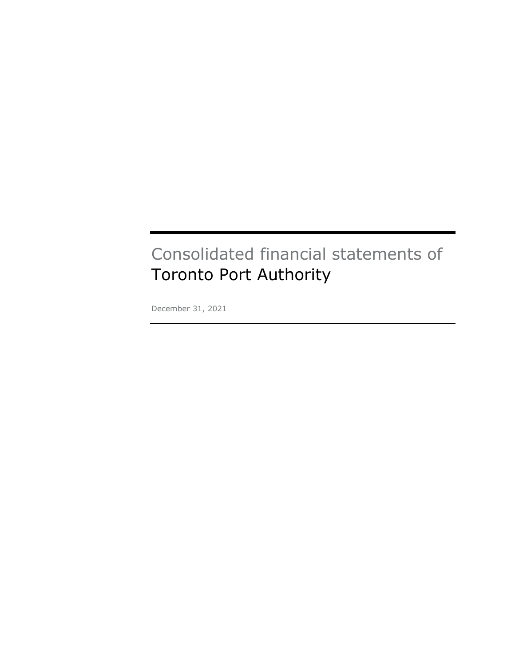# Consolidated financial statements of Toronto Port Authority

December 31, 2021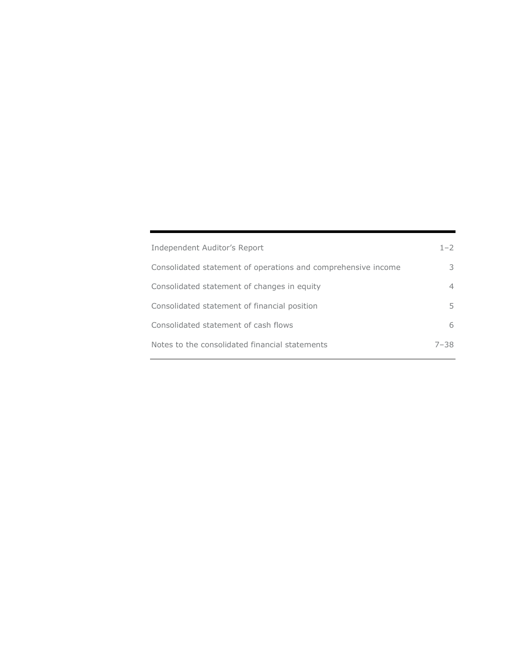| Independent Auditor's Report                                  | $1 - 2$  |
|---------------------------------------------------------------|----------|
| Consolidated statement of operations and comprehensive income | 3        |
| Consolidated statement of changes in equity                   | 4        |
| Consolidated statement of financial position                  | 5.       |
| Consolidated statement of cash flows                          | 6        |
| Notes to the consolidated financial statements                | $7 - 38$ |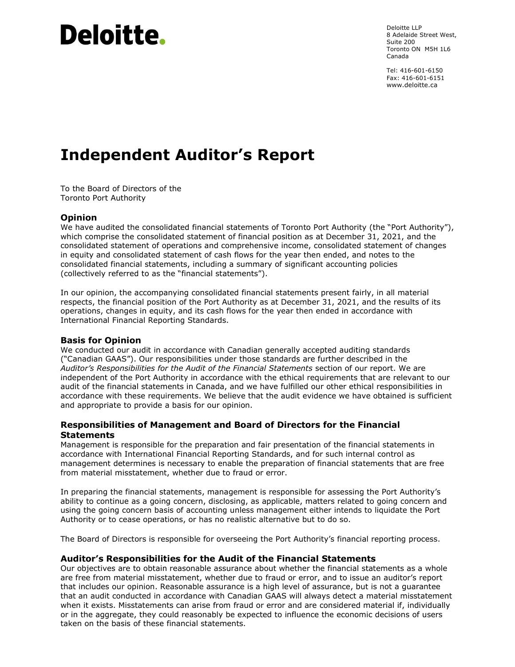# **Deloitte.**

Deloitte LLP 8 Adelaide Street West, Suite 200 Toronto ON M5H 1L6 Canada

Tel: 416-601-6150 Fax: 416-601-6151 www.deloitte.ca

# **Independent Auditor's Report**

To the Board of Directors of the Toronto Port Authority

# **Opinion**

We have audited the consolidated financial statements of Toronto Port Authority (the "Port Authority"), which comprise the consolidated statement of financial position as at December 31, 2021, and the consolidated statement of operations and comprehensive income, consolidated statement of changes in equity and consolidated statement of cash flows for the year then ended, and notes to the consolidated financial statements, including a summary of significant accounting policies (collectively referred to as the "financial statements").

In our opinion, the accompanying consolidated financial statements present fairly, in all material respects, the financial position of the Port Authority as at December 31, 2021, and the results of its operations, changes in equity, and its cash flows for the year then ended in accordance with International Financial Reporting Standards.

#### Basis for Opinion

We conducted our audit in accordance with Canadian generally accepted auditing standards (Canadian GAAS). Our responsibilities under those standards are further described in the Auditor's Responsibilities for the Audit of the Financial Statements section of our report. We are independent of the Port Authority in accordance with the ethical requirements that are relevant to our audit of the financial statements in Canada, and we have fulfilled our other ethical responsibilities in accordance with these requirements. We believe that the audit evidence we have obtained is sufficient and appropriate to provide a basis for our opinion.

# Responsibilities of Management and Board of Directors for the Financial **Statements**

Management is responsible for the preparation and fair presentation of the financial statements in accordance with International Financial Reporting Standards, and for such internal control as management determines is necessary to enable the preparation of financial statements that are free from material misstatement, whether due to fraud or error.

In preparing the financial statements, management is responsible for assessing the Port Authority's ability to continue as a going concern, disclosing, as applicable, matters related to going concern and using the going concern basis of accounting unless management either intends to liquidate the Port Authority or to cease operations, or has no realistic alternative but to do so.

The Board of Directors is responsible for overseeing the Port Authority's financial reporting process.

#### Auditor's Responsibilities for the Audit of the Financial Statements

Our objectives are to obtain reasonable assurance about whether the financial statements as a whole are free from material misstatement, whether due to fraud or error, and to issue an auditor's report that includes our opinion. Reasonable assurance is a high level of assurance, but is not a guarantee that an audit conducted in accordance with Canadian GAAS will always detect a material misstatement when it exists. Misstatements can arise from fraud or error and are considered material if, individually or in the aggregate, they could reasonably be expected to influence the economic decisions of users taken on the basis of these financial statements.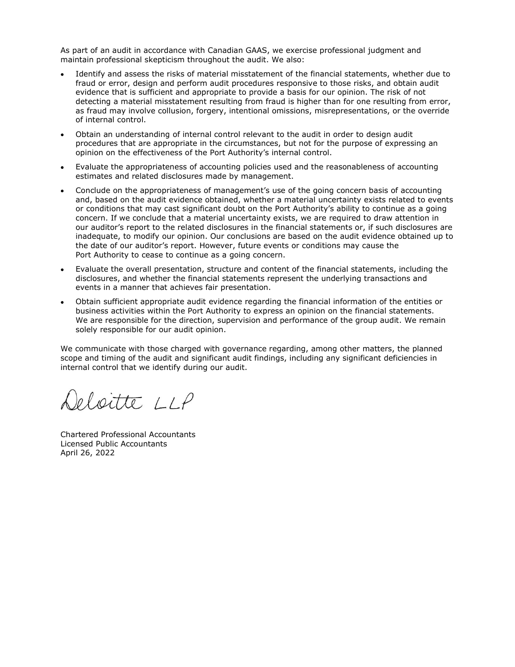As part of an audit in accordance with Canadian GAAS, we exercise professional judgment and maintain professional skepticism throughout the audit. We also:

- Identify and assess the risks of material misstatement of the financial statements, whether due to fraud or error, design and perform audit procedures responsive to those risks, and obtain audit evidence that is sufficient and appropriate to provide a basis for our opinion. The risk of not detecting a material misstatement resulting from fraud is higher than for one resulting from error, as fraud may involve collusion, forgery, intentional omissions, misrepresentations, or the override of internal control.
- Obtain an understanding of internal control relevant to the audit in order to design audit procedures that are appropriate in the circumstances, but not for the purpose of expressing an opinion on the effectiveness of the Port Authority's internal control.
- Evaluate the appropriateness of accounting policies used and the reasonableness of accounting estimates and related disclosures made by management.
- Conclude on the appropriateness of management's use of the going concern basis of accounting and, based on the audit evidence obtained, whether a material uncertainty exists related to events or conditions that may cast significant doubt on the Port Authority's ability to continue as a going concern. If we conclude that a material uncertainty exists, we are required to draw attention in our auditor's report to the related disclosures in the financial statements or, if such disclosures are inadequate, to modify our opinion. Our conclusions are based on the audit evidence obtained up to the date of our auditor's report. However, future events or conditions may cause the Port Authority to cease to continue as a going concern.
- Evaluate the overall presentation, structure and content of the financial statements, including the disclosures, and whether the financial statements represent the underlying transactions and events in a manner that achieves fair presentation.
- Obtain sufficient appropriate audit evidence regarding the financial information of the entities or business activities within the Port Authority to express an opinion on the financial statements. We are responsible for the direction, supervision and performance of the group audit. We remain solely responsible for our audit opinion.

We communicate with those charged with governance regarding, among other matters, the planned scope and timing of the audit and significant audit findings, including any significant deficiencies in internal control that we identify during our audit.

eloitte LLP

Chartered Professional Accountants Licensed Public Accountants April 26, 2022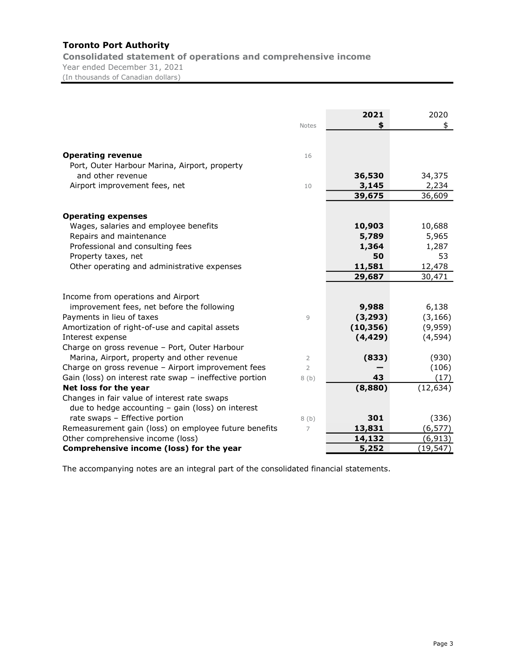Consolidated statement of operations and comprehensive income Year ended December 31, 2021 (In thousands of Canadian dollars)

|                                                         | <b>Notes</b>   | 2021<br>\$ | 2020<br>\$ |
|---------------------------------------------------------|----------------|------------|------------|
|                                                         |                |            |            |
|                                                         |                |            |            |
| <b>Operating revenue</b>                                | 16             |            |            |
| Port, Outer Harbour Marina, Airport, property           |                |            |            |
| and other revenue                                       |                | 36,530     | 34,375     |
| Airport improvement fees, net                           | 10             | 3,145      | 2,234      |
|                                                         |                | 39,675     | 36,609     |
| <b>Operating expenses</b>                               |                |            |            |
| Wages, salaries and employee benefits                   |                | 10,903     | 10,688     |
| Repairs and maintenance                                 |                | 5,789      | 5,965      |
| Professional and consulting fees                        |                | 1,364      | 1,287      |
| Property taxes, net                                     |                | 50         | 53         |
| Other operating and administrative expenses             |                | 11,581     | 12,478     |
|                                                         |                | 29,687     | 30,471     |
|                                                         |                |            |            |
| Income from operations and Airport                      |                |            |            |
| improvement fees, net before the following              |                | 9,988      | 6,138      |
| Payments in lieu of taxes                               | 9              | (3, 293)   | (3, 166)   |
| Amortization of right-of-use and capital assets         |                | (10, 356)  | (9,959)    |
| Interest expense                                        |                | (4, 429)   | (4, 594)   |
| Charge on gross revenue - Port, Outer Harbour           |                |            |            |
| Marina, Airport, property and other revenue             | 2              | (833)      | (930)      |
| Charge on gross revenue - Airport improvement fees      | $\overline{2}$ |            | (106)      |
| Gain (loss) on interest rate swap - ineffective portion | 8(b)           | 43         | (17)       |
| Net loss for the year                                   |                | (8,880)    | (12, 634)  |
| Changes in fair value of interest rate swaps            |                |            |            |
| due to hedge accounting $-$ gain (loss) on interest     |                |            |            |
| rate swaps - Effective portion                          | 8(b)           | 301        | (336)      |
| Remeasurement gain (loss) on employee future benefits   | 7              | 13,831     | (6, 577)   |
| Other comprehensive income (loss)                       |                | 14,132     | (6, 913)   |
| Comprehensive income (loss) for the year                |                | 5,252      | (19, 547)  |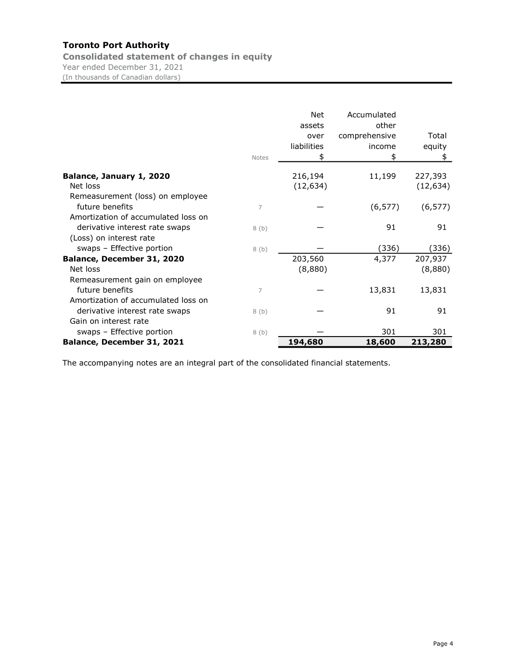Consolidated statement of changes in equity Year ended December 31, 2021 (In thousands of Canadian dollars)

|                                     | <b>Notes</b> | <b>Net</b><br>assets<br>over<br>liabilities<br>S | Accumulated<br>other<br>comprehensive<br>income<br>\$ | Total<br>equity<br>\$ |
|-------------------------------------|--------------|--------------------------------------------------|-------------------------------------------------------|-----------------------|
| Balance, January 1, 2020            |              | 216,194                                          | 11,199                                                | 227,393               |
| Net loss                            |              | (12, 634)                                        |                                                       | (12, 634)             |
| Remeasurement (loss) on employee    |              |                                                  |                                                       |                       |
| future benefits                     | 7            |                                                  | (6, 577)                                              | (6, 577)              |
| Amortization of accumulated loss on |              |                                                  |                                                       |                       |
| derivative interest rate swaps      | 8(b)         |                                                  | 91                                                    | 91                    |
| (Loss) on interest rate             |              |                                                  |                                                       |                       |
| swaps - Effective portion           | 8 (b)        |                                                  | (336)                                                 | (336)                 |
| Balance, December 31, 2020          |              | 203,560                                          | 4,377                                                 | 207,937               |
| Net loss                            |              | (8,880)                                          |                                                       | (8,880)               |
| Remeasurement gain on employee      |              |                                                  |                                                       |                       |
| future benefits                     | 7            |                                                  | 13,831                                                | 13,831                |
| Amortization of accumulated loss on |              |                                                  |                                                       |                       |
| derivative interest rate swaps      | 8(b)         |                                                  | 91                                                    | 91                    |
| Gain on interest rate               |              |                                                  |                                                       |                       |
| swaps - Effective portion           | 8(b)         |                                                  | 301                                                   | 301                   |
| Balance, December 31, 2021          |              | 194,680                                          | 18,600                                                | 213,280               |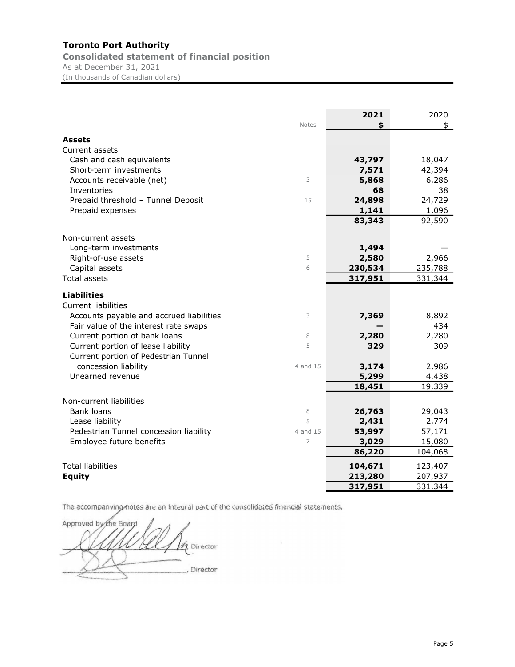Consolidated statement of financial position As at December 31, 2021 (In thousands of Canadian dollars)

|                                          | <b>Notes</b> | 2021<br>\$ | 2020<br>\$ |
|------------------------------------------|--------------|------------|------------|
| <b>Assets</b>                            |              |            |            |
| Current assets                           |              |            |            |
| Cash and cash equivalents                |              | 43,797     | 18,047     |
| Short-term investments                   |              | 7,571      | 42,394     |
| Accounts receivable (net)                | 3            | 5,868      | 6,286      |
| Inventories                              |              | 68         | 38         |
| Prepaid threshold - Tunnel Deposit       | 15           | 24,898     | 24,729     |
| Prepaid expenses                         |              | 1,141      | 1,096      |
|                                          |              | 83,343     | 92,590     |
|                                          |              |            |            |
| Non-current assets                       |              |            |            |
| Long-term investments                    |              | 1,494      |            |
| Right-of-use assets                      | 5            | 2,580      | 2,966      |
| Capital assets                           | 6            | 230,534    | 235,788    |
| <b>Total assets</b>                      |              | 317,951    | 331,344    |
| <b>Liabilities</b>                       |              |            |            |
| <b>Current liabilities</b>               |              |            |            |
| Accounts payable and accrued liabilities | 3            | 7,369      | 8,892      |
| Fair value of the interest rate swaps    |              |            | 434        |
| Current portion of bank loans            | 8            | 2,280      | 2,280      |
| Current portion of lease liability       | 5            | 329        | 309        |
| Current portion of Pedestrian Tunnel     |              |            |            |
| concession liability                     | 4 and 15     | 3,174      | 2,986      |
| Unearned revenue                         |              | 5,299      | 4,438      |
|                                          |              | 18,451     | 19,339     |
|                                          |              |            |            |
| Non-current liabilities                  |              |            |            |
| <b>Bank loans</b>                        | 8            | 26,763     | 29,043     |
| Lease liability                          | 5            | 2,431      | 2,774      |
| Pedestrian Tunnel concession liability   | 4 and 15     | 53,997     | 57,171     |
| Employee future benefits                 | 7            | 3,029      | 15,080     |
|                                          |              | 86,220     | 104,068    |
| <b>Total liabilities</b>                 |              | 104,671    | 123,407    |
| <b>Equity</b>                            |              | 213,280    | 207,937    |
|                                          |              | 317,951    | 331,344    |

Approved by the Board 4 , Director , Director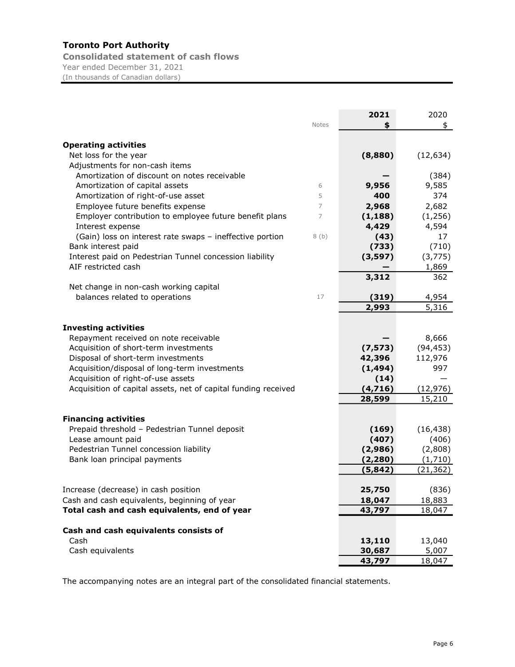Consolidated statement of cash flows Year ended December 31, 2021 (In thousands of Canadian dollars)

|                                                                                | <b>Notes</b>   | 2021<br>\$     | 2020<br>\$      |
|--------------------------------------------------------------------------------|----------------|----------------|-----------------|
|                                                                                |                |                |                 |
| <b>Operating activities</b>                                                    |                |                |                 |
| Net loss for the year                                                          |                | (8,880)        | (12, 634)       |
| Adjustments for non-cash items                                                 |                |                |                 |
| Amortization of discount on notes receivable                                   | 6              |                | (384)           |
| Amortization of capital assets                                                 | 5              | 9,956<br>400   | 9,585<br>374    |
| Amortization of right-of-use asset                                             | $\overline{7}$ |                |                 |
| Employee future benefits expense                                               | 7              | 2,968          | 2,682           |
| Employer contribution to employee future benefit plans                         |                | (1, 188)       | (1,256)         |
| Interest expense                                                               |                | 4,429          | 4,594           |
| (Gain) loss on interest rate swaps - ineffective portion                       | 8(b)           | (43)           | 17              |
| Bank interest paid                                                             |                | (733)          | (710)           |
| Interest paid on Pedestrian Tunnel concession liability<br>AIF restricted cash |                | (3, 597)       | (3, 775)        |
|                                                                                |                | 3,312          | 1,869<br>362    |
| Net change in non-cash working capital                                         |                |                |                 |
| balances related to operations                                                 | 17             |                | 4,954           |
|                                                                                |                | (319)<br>2,993 | 5,316           |
|                                                                                |                |                |                 |
| <b>Investing activities</b>                                                    |                |                |                 |
| Repayment received on note receivable                                          |                |                | 8,666           |
| Acquisition of short-term investments                                          |                | (7, 573)       | (94, 453)       |
| Disposal of short-term investments                                             |                | 42,396         | 112,976         |
| Acquisition/disposal of long-term investments                                  |                | (1, 494)       | 997             |
| Acquisition of right-of-use assets                                             |                | (14)           |                 |
| Acquisition of capital assets, net of capital funding received                 |                | (4, 716)       | <u>(12,976)</u> |
|                                                                                |                | 28,599         | 15,210          |
|                                                                                |                |                |                 |
| <b>Financing activities</b>                                                    |                |                |                 |
| Prepaid threshold - Pedestrian Tunnel deposit                                  |                | (169)          | (16, 438)       |
| Lease amount paid                                                              |                | (407)          | (406)           |
| Pedestrian Tunnel concession liability                                         |                | (2,986)        | (2,808)         |
| Bank loan principal payments                                                   |                | (2, 280)       | (1,710)         |
|                                                                                |                | (5, 842)       | (21, 362)       |
|                                                                                |                |                |                 |
| Increase (decrease) in cash position                                           |                | 25,750         | (836)           |
| Cash and cash equivalents, beginning of year                                   |                | 18,047         | 18,883          |
| Total cash and cash equivalents, end of year                                   |                | 43,797         | 18,047          |
|                                                                                |                |                |                 |
| Cash and cash equivalents consists of                                          |                |                |                 |
| Cash                                                                           |                | 13,110         | 13,040          |
| Cash equivalents                                                               |                | 30,687         | 5,007           |
|                                                                                |                | 43,797         | 18,047          |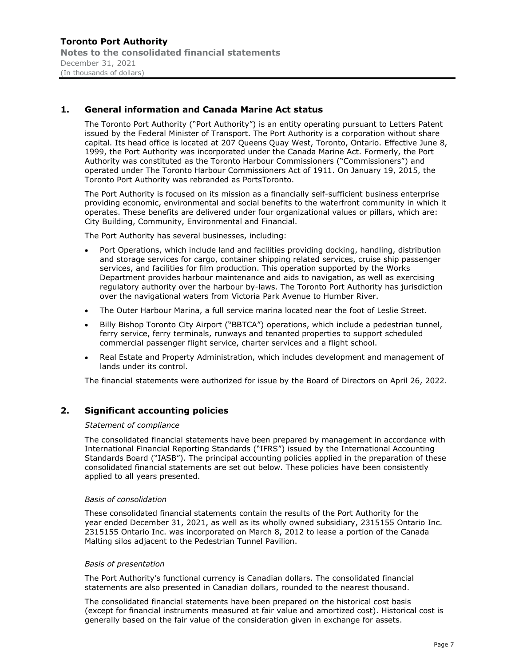# 1. General information and Canada Marine Act status

The Toronto Port Authority ("Port Authority") is an entity operating pursuant to Letters Patent issued by the Federal Minister of Transport. The Port Authority is a corporation without share capital. Its head office is located at 207 Queens Quay West, Toronto, Ontario. Effective June 8, 1999, the Port Authority was incorporated under the Canada Marine Act. Formerly, the Port Authority was constituted as the Toronto Harbour Commissioners ("Commissioners") and operated under The Toronto Harbour Commissioners Act of 1911. On January 19, 2015, the Toronto Port Authority was rebranded as PortsToronto.

The Port Authority is focused on its mission as a financially self-sufficient business enterprise providing economic, environmental and social benefits to the waterfront community in which it operates. These benefits are delivered under four organizational values or pillars, which are: City Building, Community, Environmental and Financial.

The Port Authority has several businesses, including:

- Port Operations, which include land and facilities providing docking, handling, distribution and storage services for cargo, container shipping related services, cruise ship passenger services, and facilities for film production. This operation supported by the Works Department provides harbour maintenance and aids to navigation, as well as exercising regulatory authority over the harbour by-laws. The Toronto Port Authority has jurisdiction over the navigational waters from Victoria Park Avenue to Humber River.
- The Outer Harbour Marina, a full service marina located near the foot of Leslie Street.
- Billy Bishop Toronto City Airport ("BBTCA") operations, which include a pedestrian tunnel, ferry service, ferry terminals, runways and tenanted properties to support scheduled commercial passenger flight service, charter services and a flight school.
- Real Estate and Property Administration, which includes development and management of lands under its control.

The financial statements were authorized for issue by the Board of Directors on April 26, 2022.

# 2. Significant accounting policies

#### Statement of compliance

The consolidated financial statements have been prepared by management in accordance with International Financial Reporting Standards ("IFRS") issued by the International Accounting Standards Board ("IASB"). The principal accounting policies applied in the preparation of these consolidated financial statements are set out below. These policies have been consistently applied to all years presented.

#### Basis of consolidation

These consolidated financial statements contain the results of the Port Authority for the year ended December 31, 2021, as well as its wholly owned subsidiary, 2315155 Ontario Inc. 2315155 Ontario Inc. was incorporated on March 8, 2012 to lease a portion of the Canada Malting silos adjacent to the Pedestrian Tunnel Pavilion.

#### Basis of presentation

The Port Authority's functional currency is Canadian dollars. The consolidated financial statements are also presented in Canadian dollars, rounded to the nearest thousand.

The consolidated financial statements have been prepared on the historical cost basis (except for financial instruments measured at fair value and amortized cost). Historical cost is generally based on the fair value of the consideration given in exchange for assets.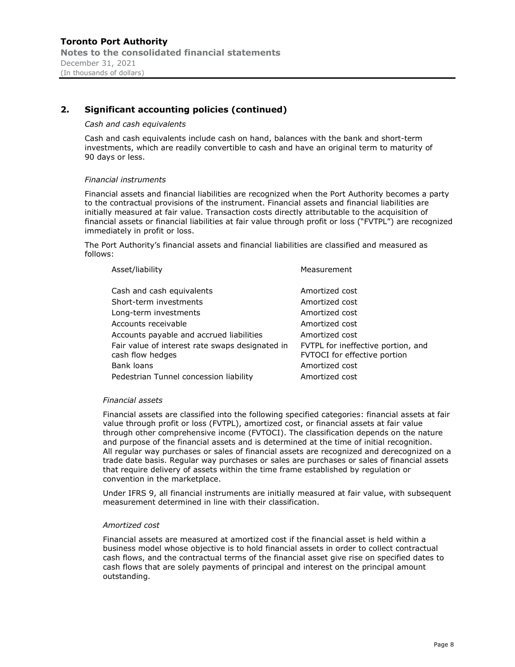#### Cash and cash equivalents

Cash and cash equivalents include cash on hand, balances with the bank and short-term investments, which are readily convertible to cash and have an original term to maturity of 90 days or less.

#### Financial instruments

Financial assets and financial liabilities are recognized when the Port Authority becomes a party to the contractual provisions of the instrument. Financial assets and financial liabilities are initially measured at fair value. Transaction costs directly attributable to the acquisition of financial assets or financial liabilities at fair value through profit or loss ("FVTPL") are recognized immediately in profit or loss.

The Port Authority's financial assets and financial liabilities are classified and measured as follows:

| Asset/liability                                                                                                                                                                                                                                                                | Measurement                                                                                                                                                                                      |
|--------------------------------------------------------------------------------------------------------------------------------------------------------------------------------------------------------------------------------------------------------------------------------|--------------------------------------------------------------------------------------------------------------------------------------------------------------------------------------------------|
| Cash and cash equivalents<br>Short-term investments<br>Long-term investments<br>Accounts receivable<br>Accounts payable and accrued liabilities<br>Fair value of interest rate swaps designated in<br>cash flow hedges<br>Bank loans<br>Pedestrian Tunnel concession liability | Amortized cost<br>Amortized cost<br>Amortized cost<br>Amortized cost<br>Amortized cost<br>FVTPL for ineffective portion, and<br>FVTOCI for effective portion<br>Amortized cost<br>Amortized cost |
|                                                                                                                                                                                                                                                                                |                                                                                                                                                                                                  |

#### Financial assets

Financial assets are classified into the following specified categories: financial assets at fair value through profit or loss (FVTPL), amortized cost, or financial assets at fair value through other comprehensive income (FVTOCI). The classification depends on the nature and purpose of the financial assets and is determined at the time of initial recognition. All regular way purchases or sales of financial assets are recognized and derecognized on a trade date basis. Regular way purchases or sales are purchases or sales of financial assets that require delivery of assets within the time frame established by regulation or convention in the marketplace.

Under IFRS 9, all financial instruments are initially measured at fair value, with subsequent measurement determined in line with their classification.

#### Amortized cost

Financial assets are measured at amortized cost if the financial asset is held within a business model whose objective is to hold financial assets in order to collect contractual cash flows, and the contractual terms of the financial asset give rise on specified dates to cash flows that are solely payments of principal and interest on the principal amount outstanding.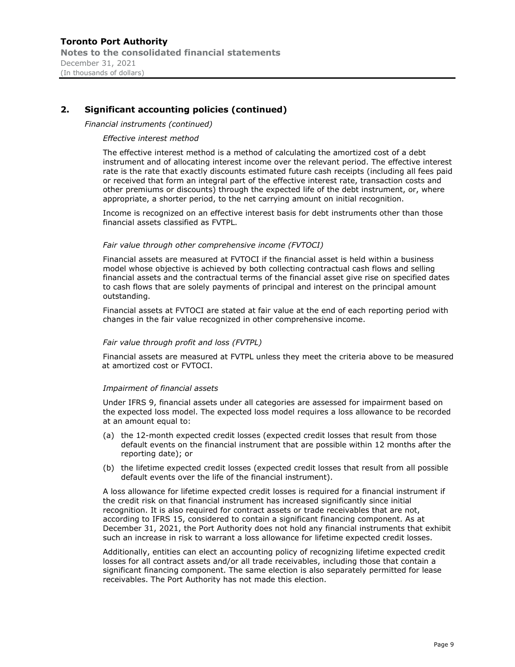#### Financial instruments (continued)

#### Effective interest method

The effective interest method is a method of calculating the amortized cost of a debt instrument and of allocating interest income over the relevant period. The effective interest rate is the rate that exactly discounts estimated future cash receipts (including all fees paid or received that form an integral part of the effective interest rate, transaction costs and other premiums or discounts) through the expected life of the debt instrument, or, where appropriate, a shorter period, to the net carrying amount on initial recognition.

Income is recognized on an effective interest basis for debt instruments other than those financial assets classified as FVTPL.

#### Fair value through other comprehensive income (FVTOCI)

Financial assets are measured at FVTOCI if the financial asset is held within a business model whose objective is achieved by both collecting contractual cash flows and selling financial assets and the contractual terms of the financial asset give rise on specified dates to cash flows that are solely payments of principal and interest on the principal amount outstanding.

Financial assets at FVTOCI are stated at fair value at the end of each reporting period with changes in the fair value recognized in other comprehensive income.

#### Fair value through profit and loss (FVTPL)

Financial assets are measured at FVTPL unless they meet the criteria above to be measured at amortized cost or FVTOCI.

#### Impairment of financial assets

Under IFRS 9, financial assets under all categories are assessed for impairment based on the expected loss model. The expected loss model requires a loss allowance to be recorded at an amount equal to:

- (a) the 12-month expected credit losses (expected credit losses that result from those default events on the financial instrument that are possible within 12 months after the reporting date); or
- (b) the lifetime expected credit losses (expected credit losses that result from all possible default events over the life of the financial instrument).

A loss allowance for lifetime expected credit losses is required for a financial instrument if the credit risk on that financial instrument has increased significantly since initial recognition. It is also required for contract assets or trade receivables that are not, according to IFRS 15, considered to contain a significant financing component. As at December 31, 2021, the Port Authority does not hold any financial instruments that exhibit such an increase in risk to warrant a loss allowance for lifetime expected credit losses.

Additionally, entities can elect an accounting policy of recognizing lifetime expected credit losses for all contract assets and/or all trade receivables, including those that contain a significant financing component. The same election is also separately permitted for lease receivables. The Port Authority has not made this election.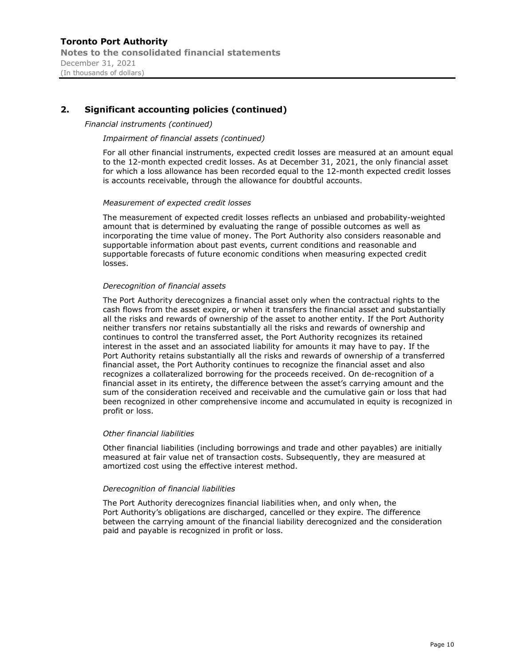#### Financial instruments (continued)

#### Impairment of financial assets (continued)

For all other financial instruments, expected credit losses are measured at an amount equal to the 12-month expected credit losses. As at December 31, 2021, the only financial asset for which a loss allowance has been recorded equal to the 12-month expected credit losses is accounts receivable, through the allowance for doubtful accounts.

#### Measurement of expected credit losses

The measurement of expected credit losses reflects an unbiased and probability-weighted amount that is determined by evaluating the range of possible outcomes as well as incorporating the time value of money. The Port Authority also considers reasonable and supportable information about past events, current conditions and reasonable and supportable forecasts of future economic conditions when measuring expected credit losses.

#### Derecognition of financial assets

The Port Authority derecognizes a financial asset only when the contractual rights to the cash flows from the asset expire, or when it transfers the financial asset and substantially all the risks and rewards of ownership of the asset to another entity. If the Port Authority neither transfers nor retains substantially all the risks and rewards of ownership and continues to control the transferred asset, the Port Authority recognizes its retained interest in the asset and an associated liability for amounts it may have to pay. If the Port Authority retains substantially all the risks and rewards of ownership of a transferred financial asset, the Port Authority continues to recognize the financial asset and also recognizes a collateralized borrowing for the proceeds received. On de-recognition of a financial asset in its entirety, the difference between the asset's carrying amount and the sum of the consideration received and receivable and the cumulative gain or loss that had been recognized in other comprehensive income and accumulated in equity is recognized in profit or loss.

#### Other financial liabilities

Other financial liabilities (including borrowings and trade and other payables) are initially measured at fair value net of transaction costs. Subsequently, they are measured at amortized cost using the effective interest method.

#### Derecognition of financial liabilities

The Port Authority derecognizes financial liabilities when, and only when, the Port Authority's obligations are discharged, cancelled or they expire. The difference between the carrying amount of the financial liability derecognized and the consideration paid and payable is recognized in profit or loss.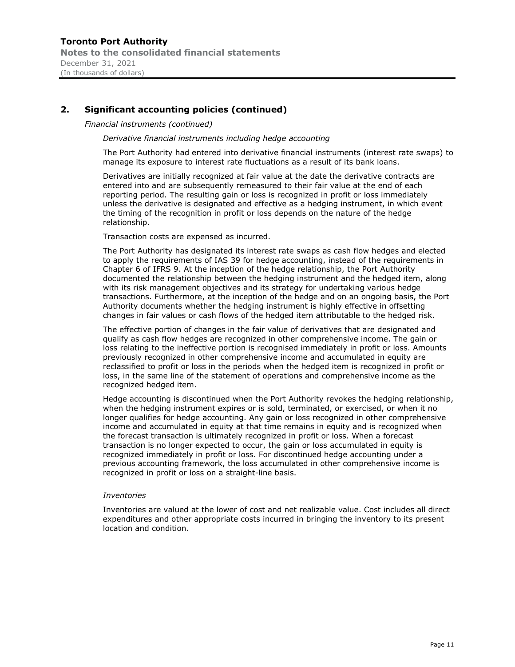#### Financial instruments (continued)

Derivative financial instruments including hedge accounting

The Port Authority had entered into derivative financial instruments (interest rate swaps) to manage its exposure to interest rate fluctuations as a result of its bank loans.

Derivatives are initially recognized at fair value at the date the derivative contracts are entered into and are subsequently remeasured to their fair value at the end of each reporting period. The resulting gain or loss is recognized in profit or loss immediately unless the derivative is designated and effective as a hedging instrument, in which event the timing of the recognition in profit or loss depends on the nature of the hedge relationship.

Transaction costs are expensed as incurred.

The Port Authority has designated its interest rate swaps as cash flow hedges and elected to apply the requirements of IAS 39 for hedge accounting, instead of the requirements in Chapter 6 of IFRS 9. At the inception of the hedge relationship, the Port Authority documented the relationship between the hedging instrument and the hedged item, along with its risk management objectives and its strategy for undertaking various hedge transactions. Furthermore, at the inception of the hedge and on an ongoing basis, the Port Authority documents whether the hedging instrument is highly effective in offsetting changes in fair values or cash flows of the hedged item attributable to the hedged risk.

The effective portion of changes in the fair value of derivatives that are designated and qualify as cash flow hedges are recognized in other comprehensive income. The gain or loss relating to the ineffective portion is recognised immediately in profit or loss. Amounts previously recognized in other comprehensive income and accumulated in equity are reclassified to profit or loss in the periods when the hedged item is recognized in profit or loss, in the same line of the statement of operations and comprehensive income as the recognized hedged item.

Hedge accounting is discontinued when the Port Authority revokes the hedging relationship, when the hedging instrument expires or is sold, terminated, or exercised, or when it no longer qualifies for hedge accounting. Any gain or loss recognized in other comprehensive income and accumulated in equity at that time remains in equity and is recognized when the forecast transaction is ultimately recognized in profit or loss. When a forecast transaction is no longer expected to occur, the gain or loss accumulated in equity is recognized immediately in profit or loss. For discontinued hedge accounting under a previous accounting framework, the loss accumulated in other comprehensive income is recognized in profit or loss on a straight-line basis.

#### Inventories

Inventories are valued at the lower of cost and net realizable value. Cost includes all direct expenditures and other appropriate costs incurred in bringing the inventory to its present location and condition.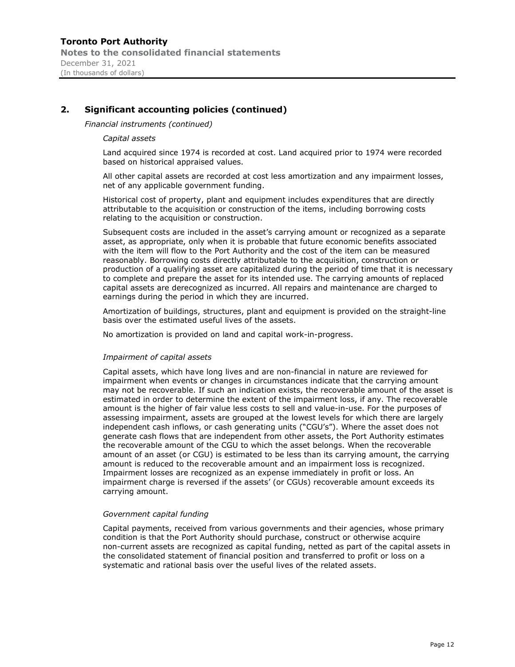Financial instruments (continued)

#### Capital assets

Land acquired since 1974 is recorded at cost. Land acquired prior to 1974 were recorded based on historical appraised values.

All other capital assets are recorded at cost less amortization and any impairment losses, net of any applicable government funding.

Historical cost of property, plant and equipment includes expenditures that are directly attributable to the acquisition or construction of the items, including borrowing costs relating to the acquisition or construction.

Subsequent costs are included in the asset's carrying amount or recognized as a separate asset, as appropriate, only when it is probable that future economic benefits associated with the item will flow to the Port Authority and the cost of the item can be measured reasonably. Borrowing costs directly attributable to the acquisition, construction or production of a qualifying asset are capitalized during the period of time that it is necessary to complete and prepare the asset for its intended use. The carrying amounts of replaced capital assets are derecognized as incurred. All repairs and maintenance are charged to earnings during the period in which they are incurred.

Amortization of buildings, structures, plant and equipment is provided on the straight-line basis over the estimated useful lives of the assets.

No amortization is provided on land and capital work-in-progress.

#### Impairment of capital assets

Capital assets, which have long lives and are non-financial in nature are reviewed for impairment when events or changes in circumstances indicate that the carrying amount may not be recoverable. If such an indication exists, the recoverable amount of the asset is estimated in order to determine the extent of the impairment loss, if any. The recoverable amount is the higher of fair value less costs to sell and value-in-use. For the purposes of assessing impairment, assets are grouped at the lowest levels for which there are largely independent cash inflows, or cash generating units ("CGU's"). Where the asset does not generate cash flows that are independent from other assets, the Port Authority estimates the recoverable amount of the CGU to which the asset belongs. When the recoverable amount of an asset (or CGU) is estimated to be less than its carrying amount, the carrying amount is reduced to the recoverable amount and an impairment loss is recognized. Impairment losses are recognized as an expense immediately in profit or loss. An impairment charge is reversed if the assets' (or CGUs) recoverable amount exceeds its carrying amount.

#### Government capital funding

Capital payments, received from various governments and their agencies, whose primary condition is that the Port Authority should purchase, construct or otherwise acquire non-current assets are recognized as capital funding, netted as part of the capital assets in the consolidated statement of financial position and transferred to profit or loss on a systematic and rational basis over the useful lives of the related assets.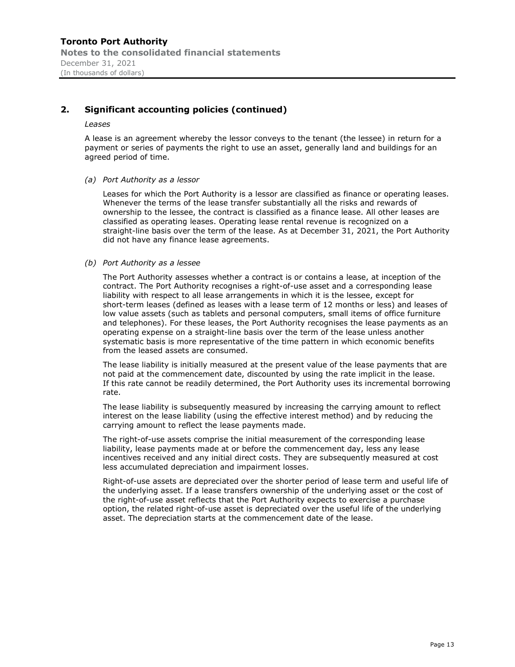#### Leases

A lease is an agreement whereby the lessor conveys to the tenant (the lessee) in return for a payment or series of payments the right to use an asset, generally land and buildings for an agreed period of time.

(a) Port Authority as a lessor

Leases for which the Port Authority is a lessor are classified as finance or operating leases. Whenever the terms of the lease transfer substantially all the risks and rewards of ownership to the lessee, the contract is classified as a finance lease. All other leases are classified as operating leases. Operating lease rental revenue is recognized on a straight-line basis over the term of the lease. As at December 31, 2021, the Port Authority did not have any finance lease agreements.

#### (b) Port Authority as a lessee

The Port Authority assesses whether a contract is or contains a lease, at inception of the contract. The Port Authority recognises a right-of-use asset and a corresponding lease liability with respect to all lease arrangements in which it is the lessee, except for short-term leases (defined as leases with a lease term of 12 months or less) and leases of low value assets (such as tablets and personal computers, small items of office furniture and telephones). For these leases, the Port Authority recognises the lease payments as an operating expense on a straight-line basis over the term of the lease unless another systematic basis is more representative of the time pattern in which economic benefits from the leased assets are consumed.

The lease liability is initially measured at the present value of the lease payments that are not paid at the commencement date, discounted by using the rate implicit in the lease. If this rate cannot be readily determined, the Port Authority uses its incremental borrowing rate.

The lease liability is subsequently measured by increasing the carrying amount to reflect interest on the lease liability (using the effective interest method) and by reducing the carrying amount to reflect the lease payments made.

The right-of-use assets comprise the initial measurement of the corresponding lease liability, lease payments made at or before the commencement day, less any lease incentives received and any initial direct costs. They are subsequently measured at cost less accumulated depreciation and impairment losses.

Right-of-use assets are depreciated over the shorter period of lease term and useful life of the underlying asset. If a lease transfers ownership of the underlying asset or the cost of the right-of-use asset reflects that the Port Authority expects to exercise a purchase option, the related right-of-use asset is depreciated over the useful life of the underlying asset. The depreciation starts at the commencement date of the lease.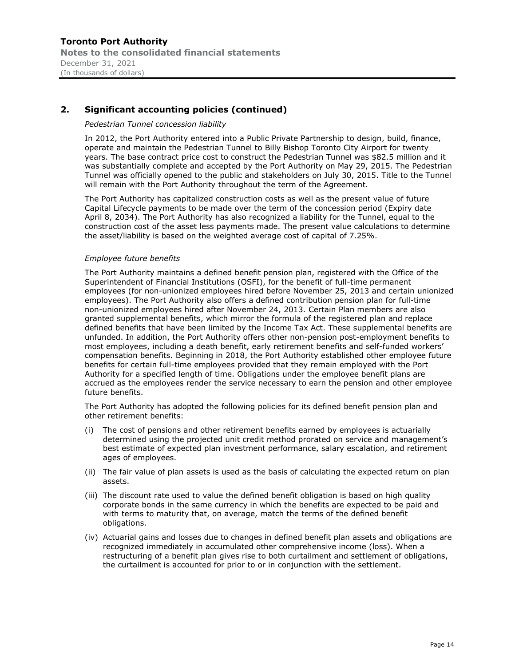#### Pedestrian Tunnel concession liability

In 2012, the Port Authority entered into a Public Private Partnership to design, build, finance, operate and maintain the Pedestrian Tunnel to Billy Bishop Toronto City Airport for twenty years. The base contract price cost to construct the Pedestrian Tunnel was \$82.5 million and it was substantially complete and accepted by the Port Authority on May 29, 2015. The Pedestrian Tunnel was officially opened to the public and stakeholders on July 30, 2015. Title to the Tunnel will remain with the Port Authority throughout the term of the Agreement.

The Port Authority has capitalized construction costs as well as the present value of future Capital Lifecycle payments to be made over the term of the concession period (Expiry date April 8, 2034). The Port Authority has also recognized a liability for the Tunnel, equal to the construction cost of the asset less payments made. The present value calculations to determine the asset/liability is based on the weighted average cost of capital of 7.25%.

#### Employee future benefits

The Port Authority maintains a defined benefit pension plan, registered with the Office of the Superintendent of Financial Institutions (OSFI), for the benefit of full-time permanent employees (for non-unionized employees hired before November 25, 2013 and certain unionized employees). The Port Authority also offers a defined contribution pension plan for full-time non-unionized employees hired after November 24, 2013. Certain Plan members are also granted supplemental benefits, which mirror the formula of the registered plan and replace defined benefits that have been limited by the Income Tax Act. These supplemental benefits are unfunded. In addition, the Port Authority offers other non-pension post-employment benefits to most employees, including a death benefit, early retirement benefits and self-funded workers compensation benefits. Beginning in 2018, the Port Authority established other employee future benefits for certain full-time employees provided that they remain employed with the Port Authority for a specified length of time. Obligations under the employee benefit plans are accrued as the employees render the service necessary to earn the pension and other employee future benefits.

The Port Authority has adopted the following policies for its defined benefit pension plan and other retirement benefits:

- (i) The cost of pensions and other retirement benefits earned by employees is actuarially determined using the projected unit credit method prorated on service and management's best estimate of expected plan investment performance, salary escalation, and retirement ages of employees.
- (ii) The fair value of plan assets is used as the basis of calculating the expected return on plan assets.
- (iii) The discount rate used to value the defined benefit obligation is based on high quality corporate bonds in the same currency in which the benefits are expected to be paid and with terms to maturity that, on average, match the terms of the defined benefit obligations.
- (iv) Actuarial gains and losses due to changes in defined benefit plan assets and obligations are recognized immediately in accumulated other comprehensive income (loss). When a restructuring of a benefit plan gives rise to both curtailment and settlement of obligations, the curtailment is accounted for prior to or in conjunction with the settlement.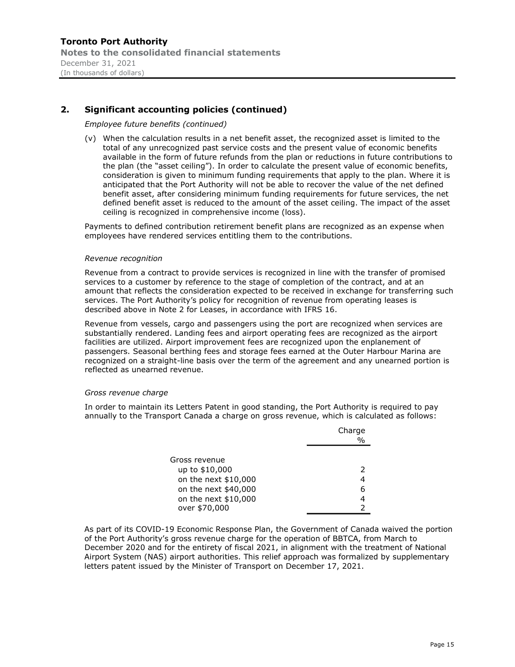#### Employee future benefits (continued)

(v) When the calculation results in a net benefit asset, the recognized asset is limited to the total of any unrecognized past service costs and the present value of economic benefits available in the form of future refunds from the plan or reductions in future contributions to the plan (the "asset ceiling"). In order to calculate the present value of economic benefits, consideration is given to minimum funding requirements that apply to the plan. Where it is anticipated that the Port Authority will not be able to recover the value of the net defined benefit asset, after considering minimum funding requirements for future services, the net defined benefit asset is reduced to the amount of the asset ceiling. The impact of the asset ceiling is recognized in comprehensive income (loss).

Payments to defined contribution retirement benefit plans are recognized as an expense when employees have rendered services entitling them to the contributions.

#### Revenue recognition

Revenue from a contract to provide services is recognized in line with the transfer of promised services to a customer by reference to the stage of completion of the contract, and at an amount that reflects the consideration expected to be received in exchange for transferring such services. The Port Authority's policy for recognition of revenue from operating leases is described above in Note 2 for Leases, in accordance with IFRS 16.

Revenue from vessels, cargo and passengers using the port are recognized when services are substantially rendered. Landing fees and airport operating fees are recognized as the airport facilities are utilized. Airport improvement fees are recognized upon the enplanement of passengers. Seasonal berthing fees and storage fees earned at the Outer Harbour Marina are recognized on a straight-line basis over the term of the agreement and any unearned portion is reflected as unearned revenue.

#### Gross revenue charge

In order to maintain its Letters Patent in good standing, the Port Authority is required to pay annually to the Transport Canada a charge on gross revenue, which is calculated as follows:

|                      | Charge<br>% |
|----------------------|-------------|
|                      |             |
| Gross revenue        |             |
| up to \$10,000       | 2           |
| on the next \$10,000 |             |
| on the next \$40,000 | 6           |
| on the next \$10,000 | 4           |
| over \$70,000        |             |

As part of its COVID-19 Economic Response Plan, the Government of Canada waived the portion of the Port Authority's gross revenue charge for the operation of BBTCA, from March to December 2020 and for the entirety of fiscal 2021, in alignment with the treatment of National Airport System (NAS) airport authorities. This relief approach was formalized by supplementary letters patent issued by the Minister of Transport on December 17, 2021.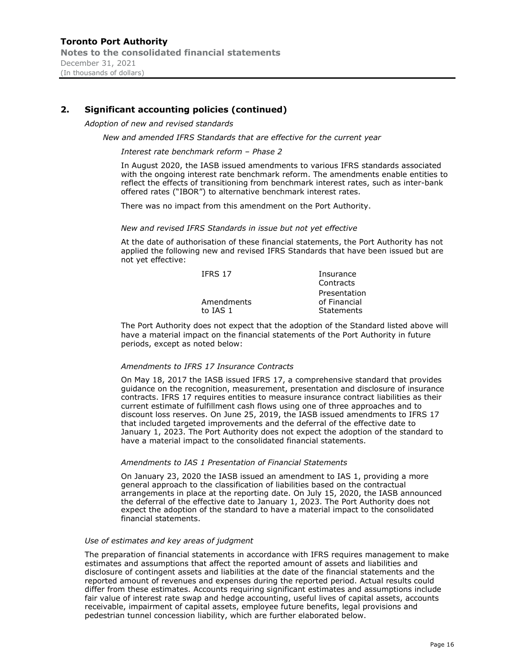Adoption of new and revised standards

New and amended IFRS Standards that are effective for the current year

Interest rate benchmark reform - Phase 2

In August 2020, the IASB issued amendments to various IFRS standards associated with the ongoing interest rate benchmark reform. The amendments enable entities to reflect the effects of transitioning from benchmark interest rates, such as inter-bank offered rates ("IBOR") to alternative benchmark interest rates.

There was no impact from this amendment on the Port Authority.

#### New and revised IFRS Standards in issue but not yet effective

At the date of authorisation of these financial statements, the Port Authority has not applied the following new and revised IFRS Standards that have been issued but are not yet effective:

| <b>IFRS 17</b> | Insurance    |
|----------------|--------------|
|                | Contracts    |
|                | Presentation |
| Amendments     | of Financial |
| to TAS 1       | Statements   |
|                |              |

The Port Authority does not expect that the adoption of the Standard listed above will have a material impact on the financial statements of the Port Authority in future periods, except as noted below:

#### Amendments to IFRS 17 Insurance Contracts

On May 18, 2017 the IASB issued IFRS 17, a comprehensive standard that provides guidance on the recognition, measurement, presentation and disclosure of insurance contracts. IFRS 17 requires entities to measure insurance contract liabilities as their current estimate of fulfillment cash flows using one of three approaches and to discount loss reserves. On June 25, 2019, the IASB issued amendments to IFRS 17 that included targeted improvements and the deferral of the effective date to January 1, 2023. The Port Authority does not expect the adoption of the standard to have a material impact to the consolidated financial statements.

#### Amendments to IAS 1 Presentation of Financial Statements

On January 23, 2020 the IASB issued an amendment to IAS 1, providing a more general approach to the classification of liabilities based on the contractual arrangements in place at the reporting date. On July 15, 2020, the IASB announced the deferral of the effective date to January 1, 2023. The Port Authority does not expect the adoption of the standard to have a material impact to the consolidated financial statements.

#### Use of estimates and key areas of judgment

The preparation of financial statements in accordance with IFRS requires management to make estimates and assumptions that affect the reported amount of assets and liabilities and disclosure of contingent assets and liabilities at the date of the financial statements and the reported amount of revenues and expenses during the reported period. Actual results could differ from these estimates. Accounts requiring significant estimates and assumptions include fair value of interest rate swap and hedge accounting, useful lives of capital assets, accounts receivable, impairment of capital assets, employee future benefits, legal provisions and pedestrian tunnel concession liability, which are further elaborated below.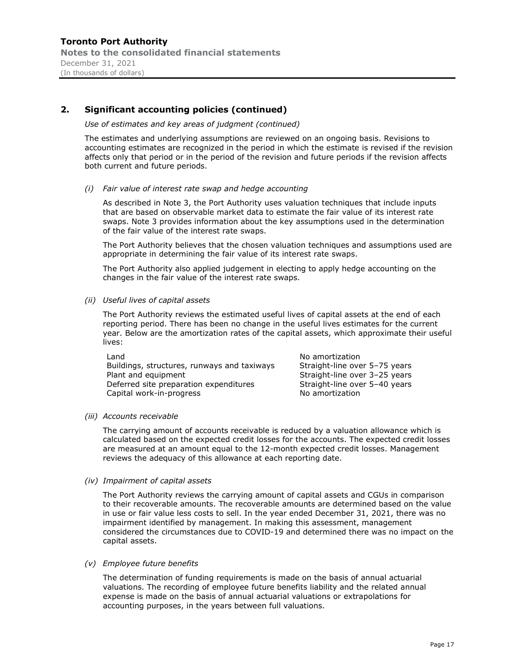#### Use of estimates and key areas of judgment (continued)

The estimates and underlying assumptions are reviewed on an ongoing basis. Revisions to accounting estimates are recognized in the period in which the estimate is revised if the revision affects only that period or in the period of the revision and future periods if the revision affects both current and future periods.

(i) Fair value of interest rate swap and hedge accounting

As described in Note 3, the Port Authority uses valuation techniques that include inputs that are based on observable market data to estimate the fair value of its interest rate swaps. Note 3 provides information about the key assumptions used in the determination of the fair value of the interest rate swaps.

The Port Authority believes that the chosen valuation techniques and assumptions used are appropriate in determining the fair value of its interest rate swaps.

The Port Authority also applied judgement in electing to apply hedge accounting on the changes in the fair value of the interest rate swaps.

(ii) Useful lives of capital assets

The Port Authority reviews the estimated useful lives of capital assets at the end of each reporting period. There has been no change in the useful lives estimates for the current year. Below are the amortization rates of the capital assets, which approximate their useful lives:

| Land                                        | No amortization               |
|---------------------------------------------|-------------------------------|
| Buildings, structures, runways and taxiways | Straight-line over 5-75 years |
| Plant and equipment                         | Straight-line over 3-25 years |
| Deferred site preparation expenditures      | Straight-line over 5-40 years |
| Capital work-in-progress                    | No amortization               |

#### (iii) Accounts receivable

The carrying amount of accounts receivable is reduced by a valuation allowance which is calculated based on the expected credit losses for the accounts. The expected credit losses are measured at an amount equal to the 12-month expected credit losses. Management reviews the adequacy of this allowance at each reporting date.

#### (iv) Impairment of capital assets

The Port Authority reviews the carrying amount of capital assets and CGUs in comparison to their recoverable amounts. The recoverable amounts are determined based on the value in use or fair value less costs to sell. In the year ended December 31, 2021, there was no impairment identified by management. In making this assessment, management considered the circumstances due to COVID-19 and determined there was no impact on the capital assets.

#### (v) Employee future benefits

The determination of funding requirements is made on the basis of annual actuarial valuations. The recording of employee future benefits liability and the related annual expense is made on the basis of annual actuarial valuations or extrapolations for accounting purposes, in the years between full valuations.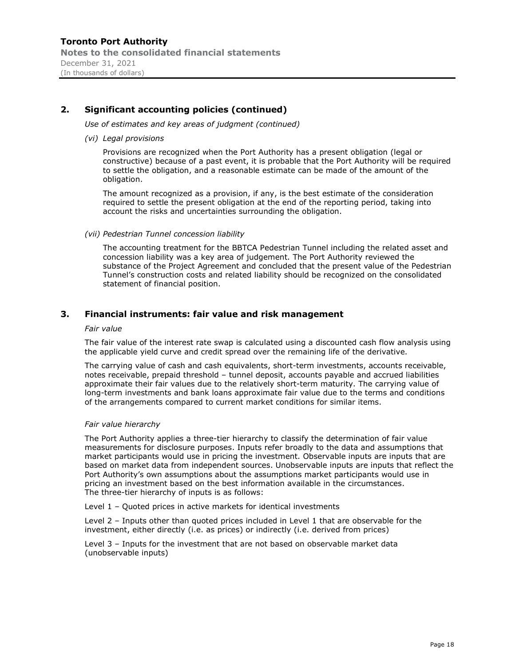Use of estimates and key areas of judgment (continued)

#### (vi) Legal provisions

Provisions are recognized when the Port Authority has a present obligation (legal or constructive) because of a past event, it is probable that the Port Authority will be required to settle the obligation, and a reasonable estimate can be made of the amount of the obligation.

The amount recognized as a provision, if any, is the best estimate of the consideration required to settle the present obligation at the end of the reporting period, taking into account the risks and uncertainties surrounding the obligation.

#### (vii) Pedestrian Tunnel concession liability

The accounting treatment for the BBTCA Pedestrian Tunnel including the related asset and concession liability was a key area of judgement. The Port Authority reviewed the substance of the Project Agreement and concluded that the present value of the Pedestrian Tunnel's construction costs and related liability should be recognized on the consolidated statement of financial position.

# 3. Financial instruments: fair value and risk management

#### Fair value

The fair value of the interest rate swap is calculated using a discounted cash flow analysis using the applicable yield curve and credit spread over the remaining life of the derivative.

The carrying value of cash and cash equivalents, short-term investments, accounts receivable, notes receivable, prepaid threshold - tunnel deposit, accounts payable and accrued liabilities approximate their fair values due to the relatively short-term maturity. The carrying value of long-term investments and bank loans approximate fair value due to the terms and conditions of the arrangements compared to current market conditions for similar items.

#### Fair value hierarchy

The Port Authority applies a three-tier hierarchy to classify the determination of fair value measurements for disclosure purposes. Inputs refer broadly to the data and assumptions that market participants would use in pricing the investment. Observable inputs are inputs that are based on market data from independent sources. Unobservable inputs are inputs that reflect the Port Authority's own assumptions about the assumptions market participants would use in pricing an investment based on the best information available in the circumstances. The three-tier hierarchy of inputs is as follows:

Level  $1$  - Quoted prices in active markets for identical investments

Level 2 - Inputs other than quoted prices included in Level 1 that are observable for the investment, either directly (i.e. as prices) or indirectly (i.e. derived from prices)

Level 3 - Inputs for the investment that are not based on observable market data (unobservable inputs)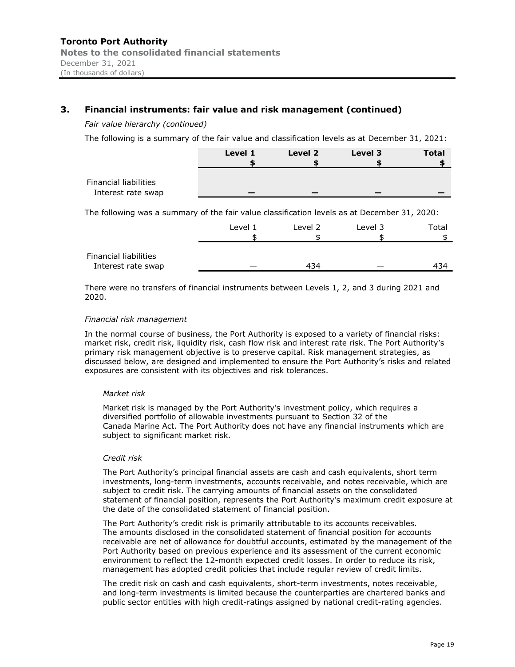| Financial instruments: fair value and risk management (continued)                               |         |         |         |              |
|-------------------------------------------------------------------------------------------------|---------|---------|---------|--------------|
| Fair value hierarchy (continued)                                                                |         |         |         |              |
| The following is a summary of the fair value and classification levels as at December 31, 2021: |         |         |         |              |
|                                                                                                 | Level 1 | Level 2 | Level 3 | <b>Total</b> |
|                                                                                                 |         |         |         |              |
| <b>Financial liabilities</b><br>Interest rate swap                                              |         |         |         |              |
| The following was a summary of the fair value classification levels as at December 31, 2020:    |         |         |         |              |
|                                                                                                 | Level 1 | Level 2 | Level 3 | Total        |
|                                                                                                 |         |         |         |              |
| <b>Financial liabilities</b>                                                                    |         |         |         |              |
| Interest rate swap                                                                              |         | 434     |         | 434          |

#### Financial risk management

In the normal course of business, the Port Authority is exposed to a variety of financial risks: market risk, credit risk, liquidity risk, cash flow risk and interest rate risk. The Port Authority's primary risk management objective is to preserve capital. Risk management strategies, as discussed below, are designed and implemented to ensure the Port Authority's risks and related exposures are consistent with its objectives and risk tolerances.

#### Market risk

Market risk is managed by the Port Authority's investment policy, which requires a diversified portfolio of allowable investments pursuant to Section 32 of the Canada Marine Act. The Port Authority does not have any financial instruments which are subject to significant market risk.

#### Credit risk

The Port Authority's principal financial assets are cash and cash equivalents, short term investments, long-term investments, accounts receivable, and notes receivable, which are subject to credit risk. The carrying amounts of financial assets on the consolidated statement of financial position, represents the Port Authority's maximum credit exposure at the date of the consolidated statement of financial position.

The Port Authority's credit risk is primarily attributable to its accounts receivables. The amounts disclosed in the consolidated statement of financial position for accounts receivable are net of allowance for doubtful accounts, estimated by the management of the Port Authority based on previous experience and its assessment of the current economic environment to reflect the 12-month expected credit losses. In order to reduce its risk, management has adopted credit policies that include regular review of credit limits.

The credit risk on cash and cash equivalents, short-term investments, notes receivable, and long-term investments is limited because the counterparties are chartered banks and public sector entities with high credit-ratings assigned by national credit-rating agencies.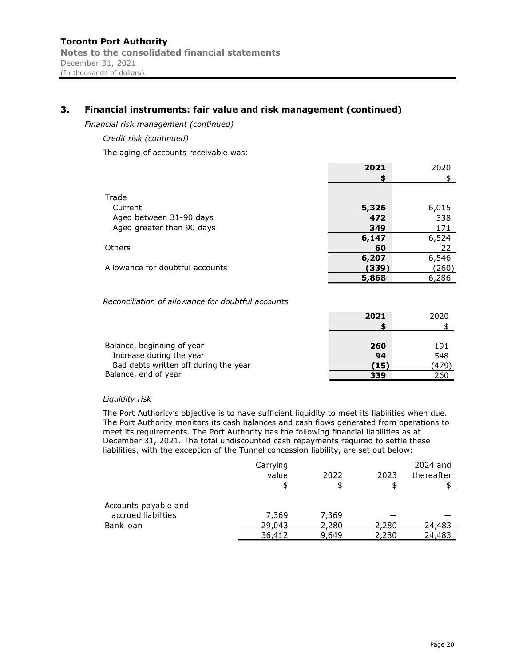Financial risk management (continued)

Credit risk (continued)

The aging of accounts receivable was:

|                                 | 2021  | 2020  |
|---------------------------------|-------|-------|
|                                 | S     |       |
|                                 |       |       |
| Trade                           |       |       |
| Current                         | 5,326 | 6,015 |
| Aged between 31-90 days         | 472   | 338   |
| Aged greater than 90 days       | 349   | 171   |
|                                 | 6,147 | 6,524 |
| Others                          | 60    | 22    |
|                                 | 6,207 | 6,546 |
| Allowance for doubtful accounts | (339) | (260) |
|                                 | 5,868 | 6,286 |
|                                 |       |       |

# Reconciliation of allowance for doubtful accounts

| Others                                                                                                                                                                                                                                                                                                                                                               |          |       | 60    | 22         |
|----------------------------------------------------------------------------------------------------------------------------------------------------------------------------------------------------------------------------------------------------------------------------------------------------------------------------------------------------------------------|----------|-------|-------|------------|
|                                                                                                                                                                                                                                                                                                                                                                      |          |       | 6,207 | 6,546      |
| Allowance for doubtful accounts                                                                                                                                                                                                                                                                                                                                      |          |       | (339) | (260)      |
|                                                                                                                                                                                                                                                                                                                                                                      |          |       | 5,868 | 6,286      |
| Reconciliation of allowance for doubtful accounts                                                                                                                                                                                                                                                                                                                    |          |       |       |            |
|                                                                                                                                                                                                                                                                                                                                                                      |          |       | 2021  | 2020       |
|                                                                                                                                                                                                                                                                                                                                                                      |          |       |       |            |
| Balance, beginning of year                                                                                                                                                                                                                                                                                                                                           |          |       | 260   | 191        |
| Increase during the year                                                                                                                                                                                                                                                                                                                                             |          |       | 94    | 548        |
| Bad debts written off during the year                                                                                                                                                                                                                                                                                                                                |          |       | (15)  | (479)      |
| Balance, end of year                                                                                                                                                                                                                                                                                                                                                 |          |       | 339   | 260        |
| Liquidity risk                                                                                                                                                                                                                                                                                                                                                       |          |       |       |            |
| The Port Authority's objective is to have sufficient liquidity to meet its liabilities when due.                                                                                                                                                                                                                                                                     |          |       |       |            |
| The Port Authority monitors its cash balances and cash flows generated from operations to<br>meet its requirements. The Port Authority has the following financial liabilities as at<br>December 31, 2021. The total undiscounted cash repayments required to settle these<br>liabilities, with the exception of the Tunnel concession liability, are set out below: |          |       |       |            |
|                                                                                                                                                                                                                                                                                                                                                                      | Carrying |       |       | 2024 and   |
|                                                                                                                                                                                                                                                                                                                                                                      | value    | 2022  | 2023  | thereafter |
|                                                                                                                                                                                                                                                                                                                                                                      |          |       |       |            |
| Accounts payable and                                                                                                                                                                                                                                                                                                                                                 |          |       |       |            |
| accrued liabilities                                                                                                                                                                                                                                                                                                                                                  | 7 260    | 7 260 |       |            |

#### Liquidity risk

|                                                                                                                                                                                                                                                                                                                                                                                                                                                                          |                  |                | 6,207          | 6,546            |
|--------------------------------------------------------------------------------------------------------------------------------------------------------------------------------------------------------------------------------------------------------------------------------------------------------------------------------------------------------------------------------------------------------------------------------------------------------------------------|------------------|----------------|----------------|------------------|
| Allowance for doubtful accounts                                                                                                                                                                                                                                                                                                                                                                                                                                          |                  |                | (339)          | (260)            |
|                                                                                                                                                                                                                                                                                                                                                                                                                                                                          |                  |                | 5,868          | 6,286            |
|                                                                                                                                                                                                                                                                                                                                                                                                                                                                          |                  |                |                |                  |
| Reconciliation of allowance for doubtful accounts                                                                                                                                                                                                                                                                                                                                                                                                                        |                  |                |                |                  |
|                                                                                                                                                                                                                                                                                                                                                                                                                                                                          |                  |                | 2021           | 2020             |
|                                                                                                                                                                                                                                                                                                                                                                                                                                                                          |                  |                |                | \$               |
| Balance, beginning of year                                                                                                                                                                                                                                                                                                                                                                                                                                               |                  |                | 260            | 191              |
| Increase during the year                                                                                                                                                                                                                                                                                                                                                                                                                                                 |                  |                | 94             | 548              |
| Bad debts written off during the year                                                                                                                                                                                                                                                                                                                                                                                                                                    |                  |                | (15)           | (479)            |
|                                                                                                                                                                                                                                                                                                                                                                                                                                                                          |                  |                |                |                  |
|                                                                                                                                                                                                                                                                                                                                                                                                                                                                          |                  |                | 339            | 260              |
| Balance, end of year                                                                                                                                                                                                                                                                                                                                                                                                                                                     |                  |                |                |                  |
| Liquidity risk                                                                                                                                                                                                                                                                                                                                                                                                                                                           |                  |                |                |                  |
| The Port Authority's objective is to have sufficient liquidity to meet its liabilities when due.<br>The Port Authority monitors its cash balances and cash flows generated from operations to<br>meet its requirements. The Port Authority has the following financial liabilities as at<br>December 31, 2021. The total undiscounted cash repayments required to settle these<br>liabilities, with the exception of the Tunnel concession liability, are set out below: |                  |                |                |                  |
|                                                                                                                                                                                                                                                                                                                                                                                                                                                                          |                  |                |                |                  |
|                                                                                                                                                                                                                                                                                                                                                                                                                                                                          | Carrying         |                |                | 2024 and         |
|                                                                                                                                                                                                                                                                                                                                                                                                                                                                          | value            | 2022           | 2023<br>\$     | thereafter       |
|                                                                                                                                                                                                                                                                                                                                                                                                                                                                          |                  |                |                |                  |
| Accounts payable and                                                                                                                                                                                                                                                                                                                                                                                                                                                     |                  |                |                |                  |
| accrued liabilities                                                                                                                                                                                                                                                                                                                                                                                                                                                      | 7,369            | 7,369          |                |                  |
| Bank loan                                                                                                                                                                                                                                                                                                                                                                                                                                                                | 29,043<br>36,412 | 2,280<br>9,649 | 2,280<br>2,280 | 24,483<br>24,483 |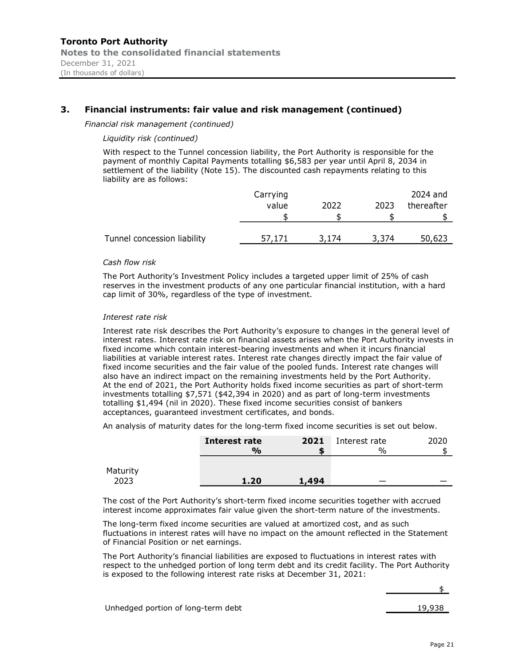Financial risk management (continued)

#### Liquidity risk (continued)

| <b>Port Authority</b><br>the consolidated financial statements<br>31, 2021<br>ds of dollars)                                                                                                                                                                                                               |          |       |       |            |
|------------------------------------------------------------------------------------------------------------------------------------------------------------------------------------------------------------------------------------------------------------------------------------------------------------|----------|-------|-------|------------|
|                                                                                                                                                                                                                                                                                                            |          |       |       |            |
| ancial instruments: fair value and risk management (continued)                                                                                                                                                                                                                                             |          |       |       |            |
| ncial risk management (continued)                                                                                                                                                                                                                                                                          |          |       |       |            |
| Liquidity risk (continued)                                                                                                                                                                                                                                                                                 |          |       |       |            |
| With respect to the Tunnel concession liability, the Port Authority is responsible for the<br>payment of monthly Capital Payments totalling \$6,583 per year until April 8, 2034 in<br>settlement of the liability (Note 15). The discounted cash repayments relating to this<br>liability are as follows: |          |       |       |            |
|                                                                                                                                                                                                                                                                                                            | Carrying |       |       | 2024 and   |
|                                                                                                                                                                                                                                                                                                            | value    | 2022  | 2023  | thereafter |
|                                                                                                                                                                                                                                                                                                            | \$       | \$    | \$    |            |
| Tunnel concession liability                                                                                                                                                                                                                                                                                | 57,171   | 3,174 | 3,374 | 50,623     |
| Cash flow risk                                                                                                                                                                                                                                                                                             |          |       |       |            |
| The Port Authority's Investment Policy includes a targeted upper limit of 25% of cash<br>reserves in the investment products of any one particular financial institution, with a hard                                                                                                                      |          |       |       |            |

#### Cash flow risk

The Port Authoritys Investment Policy includes a targeted upper limit of 25% of cash reserves in the investment products of any one particular financial institution, with a hard cap limit of 30%, regardless of the type of investment.

#### Interest rate risk

Interest rate risk describes the Port Authority's exposure to changes in the general level of interest rates. Interest rate risk on financial assets arises when the Port Authority invests in fixed income which contain interest-bearing investments and when it incurs financial liabilities at variable interest rates. Interest rate changes directly impact the fair value of fixed income securities and the fair value of the pooled funds. Interest rate changes will also have an indirect impact on the remaining investments held by the Port Authority. At the end of 2021, the Port Authority holds fixed income securities as part of short-term investments totalling \$7,571 (\$42,394 in 2020) and as part of long-term investments totalling \$1,494 (nil in 2020). These fixed income securities consist of bankers acceptances, guaranteed investment certificates, and bonds.  $\frac{1}{2}$ <br>
Interest rate 2021 Interest rate 2021 Interest rate<br>
Interest rate 2021 Interest rate 2021 Interest rate<br>
Interest rate 2021 Interest rate 2021 Interest rate 2020<br>
Interest for the profession of the specifical 57,171 3,174 3,374 50,623<br>
includes a targeted upper limit of 25% of cash<br>
any one particular financial institution, with a hard<br>
e of investment.<br>
thority's exposure to changes in the general level of<br>
notial assets aris

|                                        | An analysis of maturity dates for the long-term fixed income securities is set out below.                                                                                                                                                                               |       |                                |        |
|----------------------------------------|-------------------------------------------------------------------------------------------------------------------------------------------------------------------------------------------------------------------------------------------------------------------------|-------|--------------------------------|--------|
|                                        | <b>Interest rate</b><br>$\frac{0}{0}$                                                                                                                                                                                                                                   | 2021  | Interest rate<br>$\frac{0}{0}$ | 2020   |
| Maturity<br>2023                       | 1.20                                                                                                                                                                                                                                                                    | 1,494 |                                |        |
|                                        | The cost of the Port Authority's short-term fixed income securities together with accrued<br>interest income approximates fair value given the short-term nature of the investments.<br>The long-term fixed income securities are valued at amortized cost, and as such |       |                                |        |
|                                        | fluctuations in interest rates will have no impact on the amount reflected in the Statement                                                                                                                                                                             |       |                                |        |
| of Financial Position or net earnings. | The Port Authority's financial liabilities are exposed to fluctuations in interest rates with<br>respect to the unhedged portion of long term debt and its credit facility. The Port Authority<br>is exposed to the following interest rate risks at December 31, 2021: |       |                                |        |
|                                        |                                                                                                                                                                                                                                                                         |       |                                |        |
| Unhedged portion of long-term debt     |                                                                                                                                                                                                                                                                         |       |                                | 19,938 |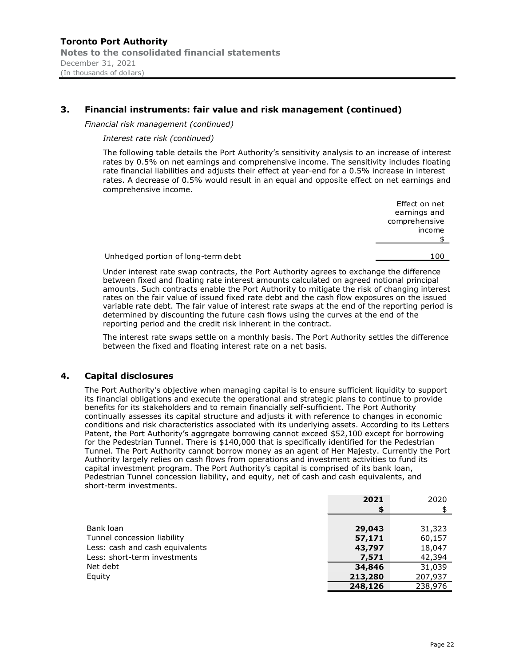Financial risk management (continued)

Interest rate risk (continued)

The following table details the Port Authority's sensitivity analysis to an increase of interest rates by 0.5% on net earnings and comprehensive income. The sensitivity includes floating rate financial liabilities and adjusts their effect at year-end for a 0.5% increase in interest rates. A decrease of 0.5% would result in an equal and opposite effect on net earnings and comprehensive income. **Port Authority**<br>
Sit, 2021<br>
Sit, 2021<br>
Sit consolidated financial statements<br>
Sit collins)<br>
Cial risk management (continued)<br>
The following table details the Port Authority's sensitivity analysis to an increase of interes

Effect on net earnings and comprehensive income  $\frac{1}{2}$ 

Under interest rate swap contracts, the Port Authority agrees to exchange the difference between fixed and floating rate interest amounts calculated on agreed notional principal amounts. Such contracts enable the Port Authority to mitigate the risk of changing interest rates on the fair value of issued fixed rate debt and the cash flow exposures on the issued variable rate debt. The fair value of interest rate swaps at the end of the reporting period is determined by discounting the future cash flows using the curves at the end of the reporting period and the credit risk inherent in the contract.

The interest rate swaps settle on a monthly basis. The Port Authority settles the difference between the fixed and floating interest rate on a net basis.

#### 4. Capital disclosures

The Port Authority's objective when managing capital is to ensure sufficient liquidity to support its financial obligations and execute the operational and strategic plans to continue to provide benefits for its stakeholders and to remain financially self-sufficient. The Port Authority continually assesses its capital structure and adjusts it with reference to changes in economic conditions and risk characteristics associated with its underlying assets. According to its Letters Patent, the Port Authority's aggregate borrowing cannot exceed \$52,100 except for borrowing for the Pedestrian Tunnel. There is \$140,000 that is specifically identified for the Pedestrian Tunnel. The Port Authority cannot borrow money as an agent of Her Majesty. Currently the Port Authority largely relies on cash flows from operations and investment activities to fund its capital investment program. The Port Authority's capital is comprised of its bank loan, Pedestrian Tunnel concession liability, and equity, net of cash and cash equivalents, and short-term investments.

|                                 | 2021    | 2020    |
|---------------------------------|---------|---------|
|                                 | \$      |         |
|                                 |         |         |
| Bank loan                       | 29,043  | 31,323  |
| Tunnel concession liability     | 57,171  | 60,157  |
| Less: cash and cash equivalents | 43,797  | 18,047  |
| Less: short-term investments    | 7,571   | 42,394  |
| Net debt                        | 34,846  | 31,039  |
| Equity                          | 213,280 | 207,937 |
|                                 | 248,126 | 238,976 |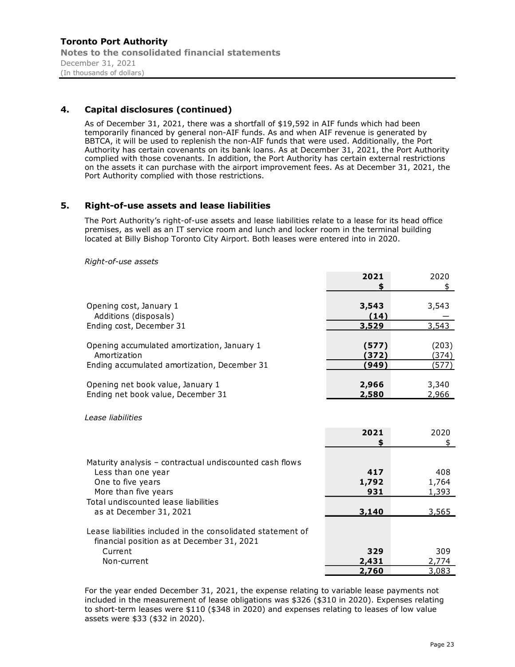# 4. Capital disclosures (continued)

As of December 31, 2021, there was a shortfall of \$19,592 in AIF funds which had been temporarily financed by general non-AIF funds. As and when AIF revenue is generated by BBTCA, it will be used to replenish the non-AIF funds that were used. Additionally, the Port Authority has certain covenants on its bank loans. As at December 31, 2021, the Port Authority complied with those covenants. In addition, the Port Authority has certain external restrictions on the assets it can purchase with the airport improvement fees. As at December 31, 2021, the Port Authority complied with those restrictions.

# 5. Right-of-use assets and lease liabilities

The Port Authority's right-of-use assets and lease liabilities relate to a lease for its head office premises, as well as an IT service room and lunch and locker room in the terminal building located at Billy Bishop Toronto City Airport. Both leases were entered into in 2020.

Right-of-use assets

|                                                             | 2021  | 2020  |  |
|-------------------------------------------------------------|-------|-------|--|
|                                                             |       |       |  |
| Opening cost, January 1                                     | 3,543 | 3,543 |  |
| Additions (disposals)                                       | (14)  |       |  |
| Ending cost, December 31                                    | 3,529 | 3,543 |  |
|                                                             |       |       |  |
| Opening accumulated amortization, January 1                 | (577) | (203) |  |
| Amortization                                                | (372) | (374) |  |
| Ending accumulated amortization, December 31                | (949) | (577) |  |
|                                                             |       |       |  |
| Opening net book value, January 1                           | 2,966 | 3,340 |  |
| Ending net book value, December 31                          | 2,580 | 2,966 |  |
|                                                             |       |       |  |
| <i>Lease liabilities</i>                                    |       |       |  |
|                                                             | 2021  | 2020  |  |
|                                                             |       |       |  |
|                                                             |       |       |  |
| Maturity analysis - contractual undiscounted cash flows     |       |       |  |
| Less than one year                                          | 417   | 408   |  |
| One to five years                                           | 1,792 | 1,764 |  |
| More than five years                                        | 931   | 1,393 |  |
| Total undiscounted lease liabilities                        |       |       |  |
| as at December 31, 2021                                     | 3,140 | 3,565 |  |
|                                                             |       |       |  |
| Lease liabilities included in the consolidated statement of |       |       |  |
| financial position as at December 31, 2021                  |       |       |  |
| Current                                                     | 329   | 309   |  |
| Non-current                                                 | 2,431 | 2,774 |  |
|                                                             | 2,760 | 3,083 |  |

For the year ended December 31, 2021, the expense relating to variable lease payments not included in the measurement of lease obligations was \$326 (\$310 in 2020). Expenses relating to short-term leases were \$110 (\$348 in 2020) and expenses relating to leases of low value assets were \$33 (\$32 in 2020).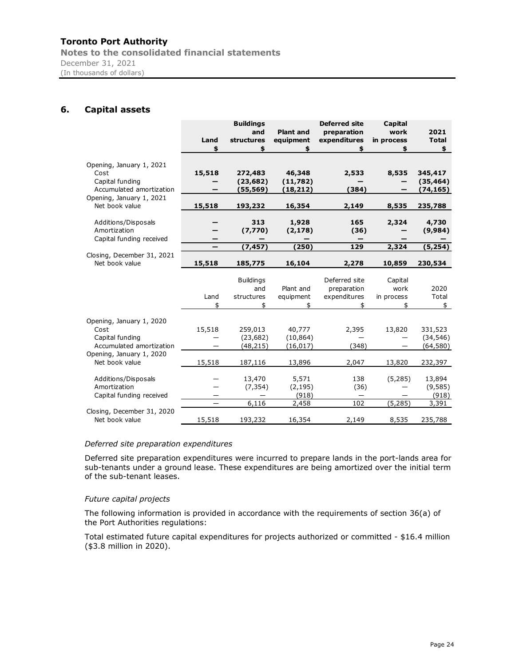Notes to the consolidated financial statements December 31, 2021 (In thousands of dollars)

# 6. Capital assets

| nto Port Authority                          |                        |                  |                  |                          |                          |               |
|---------------------------------------------|------------------------|------------------|------------------|--------------------------|--------------------------|---------------|
|                                             |                        |                  |                  |                          |                          |               |
| is to the consolidated financial statements |                        |                  |                  |                          |                          |               |
| <b>Capital assets</b>                       |                        |                  |                  |                          |                          |               |
| nber 31, 2021<br>busands of dollars)        |                        |                  |                  |                          |                          |               |
|                                             |                        |                  |                  |                          |                          |               |
|                                             |                        |                  |                  |                          |                          |               |
|                                             |                        |                  |                  |                          |                          |               |
|                                             |                        |                  |                  |                          |                          |               |
|                                             |                        |                  |                  |                          |                          |               |
|                                             |                        |                  |                  |                          |                          |               |
|                                             |                        | <b>Buildings</b> |                  | <b>Deferred site</b>     | Capital                  |               |
|                                             |                        | and              | <b>Plant and</b> | preparation              | work                     | 2021          |
|                                             | Land                   | structures       | equipment        | expenditures             | in process               | <b>Total</b>  |
|                                             | \$                     | \$               | \$               | \$                       | \$                       | \$            |
|                                             |                        |                  |                  |                          |                          |               |
| Opening, January 1, 2021<br>Cost            | 15,518                 | 272,483          | 46,348           | 2,533                    | 8,535                    | 345,417       |
| Capital funding                             |                        | (23, 682)        | (11,782)         |                          |                          | (35, 464)     |
| Accumulated amortization                    | —                      | (55, 569)        | (18, 212)        | (384)                    |                          | (74, 165)     |
| Opening, January 1, 2021                    |                        |                  |                  |                          |                          |               |
| Net book value                              | 15,518                 | 193,232          | 16,354           | 2,149                    | 8,535                    | 235,788       |
|                                             |                        |                  |                  |                          |                          |               |
| Additions/Disposals                         | -                      | 313              | 1,928            | 165                      | 2,324                    | 4,730         |
| Amortization                                | -                      | (7, 770)         | (2, 178)         | (36)                     |                          | (9,984)       |
| Capital funding received                    | -<br>$\qquad \qquad -$ | —<br>(7, 457)    | (250)            | $\qquad \qquad -$<br>129 | 2,324                    | -<br>(5, 254) |
| Closing, December 31, 2021                  |                        |                  |                  |                          |                          |               |
| Net book value                              | 15,518                 | 185,775          | 16,104           | 2,278                    | 10,859                   | 230,534       |
|                                             |                        |                  |                  |                          |                          |               |
|                                             |                        | <b>Buildings</b> |                  | Deferred site            | Capital                  |               |
|                                             |                        | and              | Plant and        | preparation              | work                     | 2020          |
|                                             | Land                   | structures       | equipment        | expenditures             | in process               | Total         |
|                                             | \$                     | \$               | \$               | \$                       | \$                       | $\frac{1}{2}$ |
| Opening, January 1, 2020                    |                        |                  |                  |                          |                          |               |
| Cost                                        | 15,518                 | 259,013          | 40,777           | 2,395                    | 13,820                   | 331,523       |
| Capital funding                             |                        | (23, 682)        | (10, 864)        |                          |                          | (34, 546)     |
| Accumulated amortization                    | $\qquad \qquad -$      | (48, 215)        | (16, 017)        | (348)                    | $\qquad \qquad -$        | (64, 580)     |
| Opening, January 1, 2020                    |                        |                  |                  |                          |                          |               |
| Net book value                              | 15,518                 | 187,116          | 13,896           | 2,047                    | 13,820                   | 232,397       |
| Additions/Disposals                         |                        | 13,470           | 5,571            | 138                      | (5, 285)                 | 13,894        |
| Amortization                                |                        | (7, 354)         | (2, 195)         | (36)                     | $\overline{\phantom{0}}$ | (9, 585)      |
| Capital funding received                    | —                      |                  | (918)            | $\overline{\phantom{m}}$ |                          | (918)         |
|                                             | $\qquad \qquad -$      | 6,116            | 2,458            | 102                      | (5, 285)                 | 3,391         |
| Closing, December 31, 2020                  |                        |                  |                  |                          |                          |               |
| Net book value                              | 15,518                 | 193,232          | 16,354           | 2,149                    | 8,535                    | 235,788       |
|                                             |                        |                  |                  |                          |                          |               |
|                                             |                        |                  |                  |                          |                          |               |
| Deferred site preparation expenditures      |                        |                  |                  |                          |                          |               |

#### Deferred site preparation expenditures

Deferred site preparation expenditures were incurred to prepare lands in the port-lands area for sub-tenants under a ground lease. These expenditures are being amortized over the initial term of the sub-tenant leases.

#### Future capital projects

The following information is provided in accordance with the requirements of section 36(a) of the Port Authorities regulations:

Total estimated future capital expenditures for projects authorized or committed - \$16.4 million (\$3.8 million in 2020).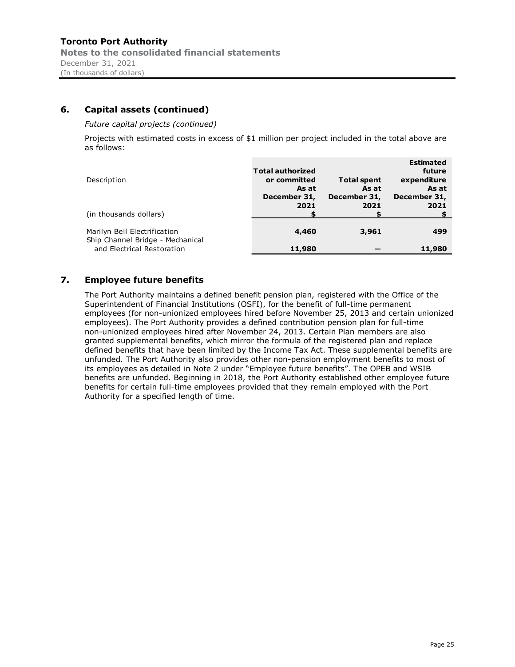# 6. Capital assets (continued)

Future capital projects (continued)

Projects with estimated costs in excess of \$1 million per project included in the total above are as follows:

| Description                                                      | <b>Total authorized</b><br>or committed<br>As at<br>December 31,<br>2021 | <b>Total spent</b><br>As at<br>December 31,<br>2021 | <b>Estimated</b><br>future<br>expenditure<br>As at<br>December 31,<br>2021 |
|------------------------------------------------------------------|--------------------------------------------------------------------------|-----------------------------------------------------|----------------------------------------------------------------------------|
| (in thousands dollars)                                           |                                                                          |                                                     |                                                                            |
| Marilyn Bell Electrification<br>Ship Channel Bridge - Mechanical | 4,460                                                                    | 3,961                                               | 499                                                                        |
| and Electrical Restoration                                       | 11,980                                                                   |                                                     | 11,980                                                                     |

# 7. Employee future benefits

The Port Authority maintains a defined benefit pension plan, registered with the Office of the Superintendent of Financial Institutions (OSFI), for the benefit of full-time permanent employees (for non-unionized employees hired before November 25, 2013 and certain unionized employees). The Port Authority provides a defined contribution pension plan for full-time non-unionized employees hired after November 24, 2013. Certain Plan members are also granted supplemental benefits, which mirror the formula of the registered plan and replace defined benefits that have been limited by the Income Tax Act. These supplemental benefits are unfunded. The Port Authority also provides other non-pension employment benefits to most of its employees as detailed in Note 2 under "Employee future benefits". The OPEB and WSIB benefits are unfunded. Beginning in 2018, the Port Authority established other employee future benefits for certain full-time employees provided that they remain employed with the Port Authority for a specified length of time.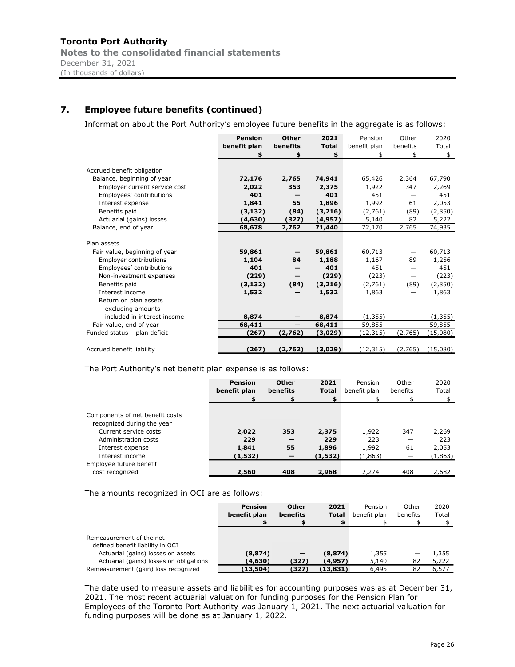# 7. Employee future benefits (continued)

Information about the Port Authority's employee future benefits in the aggregate is as follows:

|                               | <b>Pension</b> | <b>Other</b>    | 2021         | Pension      | Other             | 2020     |
|-------------------------------|----------------|-----------------|--------------|--------------|-------------------|----------|
|                               | benefit plan   | benefits        | <b>Total</b> | benefit plan | benefits          | Total    |
|                               | \$             | \$              | \$           | \$           | \$                | \$       |
| Accrued benefit obligation    |                |                 |              |              |                   |          |
| Balance, beginning of year    | 72,176         | 2,765           | 74,941       | 65,426       | 2,364             | 67,790   |
| Employer current service cost | 2,022          | 353             | 2,375        | 1,922        | 347               | 2,269    |
|                               | 401            |                 | 401          | 451          |                   | 451      |
| Employees' contributions      |                |                 |              |              |                   |          |
| Interest expense              | 1,841          | 55              | 1,896        | 1,992        | 61                | 2,053    |
| Benefits paid                 | (3, 132)       | (84)            | (3,216)      | (2,761)      | (89)              | (2,850)  |
| Actuarial (gains) losses      | (4,630)        | (327)           | (4, 957)     | 5,140        | 82                | 5,222    |
| Balance, end of year          | 68,678         | 2,762           | 71,440       | 72,170       | 2,765             | 74,935   |
|                               |                |                 |              |              |                   |          |
| Plan assets                   |                |                 |              |              |                   |          |
| Fair value, beginning of year | 59,861         |                 | 59,861       | 60,713       | —                 | 60,713   |
| <b>Employer contributions</b> | 1,104          | 84              | 1,188        | 1,167        | 89                | 1,256    |
| Employees' contributions      | 401            |                 | 401          | 451          |                   | 451      |
| Non-investment expenses       | (229)          |                 | (229)        | (223)        | —                 | (223)    |
| Benefits paid                 | (3, 132)       | (84)            | (3,216)      | (2,761)      | (89)              | (2,850)  |
| Interest income               | 1,532          |                 | 1,532        | 1,863        |                   | 1,863    |
| Return on plan assets         |                |                 |              |              |                   |          |
| excluding amounts             |                |                 |              |              |                   |          |
| included in interest income   | 8,874          |                 | 8,874        | (1, 355)     |                   | (1, 355) |
| Fair value, end of year       | 68,411         | $\qquad \qquad$ | 68,411       | 59,855       | $\qquad \qquad -$ | 59,855   |
| Funded status - plan deficit  | (267)          | (2,762)         | (3,029)      | (12,315)     | (2,765)           | (15,080) |
|                               |                |                 |              |              |                   |          |
| Accrued benefit liability     | (267)          | (2,762)         | (3,029)      | (12, 315)    | (2,765)           | (15,080) |

| Benefits paid                                                | (3, 132)       | (84)                     | (3, 216)     | (2,761)      | (89)                     | (2,850)  |
|--------------------------------------------------------------|----------------|--------------------------|--------------|--------------|--------------------------|----------|
| Interest income                                              | 1,532          | $\overline{\phantom{m}}$ | 1,532        | 1,863        | $\overline{\phantom{0}}$ | 1,863    |
| Return on plan assets                                        |                |                          |              |              |                          |          |
| excluding amounts                                            |                |                          |              |              |                          |          |
| included in interest income                                  | 8,874          | $\overline{\phantom{m}}$ | 8,874        | (1, 355)     | $\overline{\phantom{0}}$ | (1, 355) |
| Fair value, end of year                                      | 68,411         | $\overline{\phantom{m}}$ | 68,411       | 59,855       | $\overline{\phantom{m}}$ | 59,855   |
| Funded status - plan deficit                                 | (267)          | (2,762)                  | (3,029)      | (12, 315)    | (2,765)                  | (15,080) |
|                                                              |                |                          |              |              |                          |          |
| Accrued benefit liability                                    | (267)          | (2,762)                  | (3,029)      | (12, 315)    | (2,765)                  | (15,080) |
|                                                              |                |                          |              |              |                          |          |
|                                                              |                |                          |              |              |                          |          |
| The Port Authority's net benefit plan expense is as follows: |                |                          |              |              |                          |          |
|                                                              | <b>Pension</b> | <b>Other</b>             | 2021         | Pension      | Other                    | 2020     |
|                                                              | benefit plan   | benefits                 | <b>Total</b> | benefit plan | benefits                 | Total    |
|                                                              |                | \$                       |              | \$           | \$                       | \$       |
|                                                              |                |                          |              |              |                          |          |
| Components of net benefit costs                              |                |                          |              |              |                          |          |
|                                                              |                |                          |              |              |                          |          |
| recognized during the year                                   |                |                          |              |              |                          |          |
| Current service costs                                        | 2,022          | 353                      | 2,375        | 1,922        | 347                      | 2,269    |
| Administration costs                                         | 229            |                          | 229          | 223          | $\overline{\phantom{m}}$ | 223      |
| Interest expense                                             | 1,841          | 55                       | 1,896        | 1,992        | 61                       | 2,053    |
| Interest income                                              | (1, 532)       | —                        | (1, 532)     | (1, 863)     | $\overline{\phantom{0}}$ | (1,863)  |
| Employee future benefit                                      |                |                          |              |              |                          |          |
| cost recognized                                              | 2,560          | 408                      | 2,968        | 2,274        | 408                      | 2,682    |
|                                                              |                |                          |              |              |                          |          |
|                                                              |                |                          |              |              |                          |          |
| The amounts recognized in OCI are as follows:                |                |                          |              |              |                          |          |
|                                                              |                |                          |              |              |                          |          |
|                                                              | <b>Pension</b> | Other                    | 2021         | Pension      | Other                    | 2020     |
|                                                              | benefit plan   | benefits                 | <b>Total</b> | benefit plan | benefits                 | Total    |
|                                                              |                | \$                       | \$           |              | \$                       | \$       |
|                                                              |                |                          |              |              |                          |          |
| Remeasurement of the net                                     |                |                          |              |              |                          |          |
| defined benefit liability in OCI                             |                |                          |              |              |                          |          |
| Actuarial (gains) losses on assets                           | (8, 874)       |                          | (8, 874)     | 1,355        | $\qquad \qquad -$        | 1,355    |
| Actuarial (gains) losses on obligations                      | (4,630)        | (327)                    | (4, 957)     | 5,140        | 82                       | 5,222    |
| Remeasurement (gain) loss recognized                         | (13, 504)      | (327)                    | (13, 831)    | 6,495        | 82                       | 6,577    |

|                                                                                                    | <b>Pension</b><br>benefit plan | <b>Other</b><br>benefits | 2021<br>Total | Pension<br>benefit plan | Other<br>benefits | 2020<br>Total |
|----------------------------------------------------------------------------------------------------|--------------------------------|--------------------------|---------------|-------------------------|-------------------|---------------|
| Remeasurement of the net<br>defined benefit liability in OCI<br>Actuarial (gains) losses on assets | (8, 874)                       | $\overline{\phantom{m}}$ | (8, 874)      | 1,355                   | —                 | 355, 1        |
| Actuarial (gains) losses on obligations                                                            | (4,630)                        | (327)                    | (4, 957)      | 5,140                   | 82                | 5,222         |
| Remeasurement (gain) loss recognized                                                               | (13,504)                       | (327)                    | (13, 831)     | 6,495                   | 82                | 6,577         |

The date used to measure assets and liabilities for accounting purposes was as at December 31, 2021. The most recent actuarial valuation for funding purposes for the Pension Plan for Employees of the Toronto Port Authority was January 1, 2021. The next actuarial valuation for funding purposes will be done as at January 1, 2022.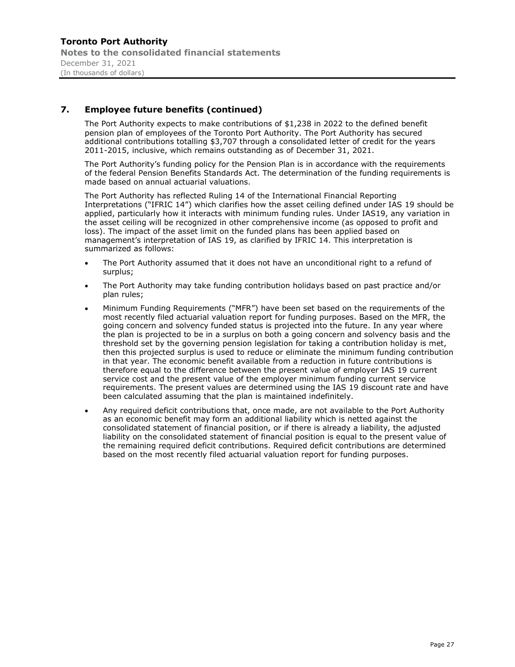# 7. Employee future benefits (continued)

The Port Authority expects to make contributions of \$1,238 in 2022 to the defined benefit pension plan of employees of the Toronto Port Authority. The Port Authority has secured additional contributions totalling \$3,707 through a consolidated letter of credit for the years 2011-2015, inclusive, which remains outstanding as of December 31, 2021.

The Port Authority's funding policy for the Pension Plan is in accordance with the requirements of the federal Pension Benefits Standards Act. The determination of the funding requirements is made based on annual actuarial valuations.

The Port Authority has reflected Ruling 14 of the International Financial Reporting Interpretations ("IFRIC 14") which clarifies how the asset ceiling defined under IAS 19 should be applied, particularly how it interacts with minimum funding rules. Under IAS19, any variation in the asset ceiling will be recognized in other comprehensive income (as opposed to profit and loss). The impact of the asset limit on the funded plans has been applied based on management's interpretation of IAS 19, as clarified by IFRIC 14. This interpretation is summarized as follows:

- The Port Authority assumed that it does not have an unconditional right to a refund of surplus;
- The Port Authority may take funding contribution holidays based on past practice and/or plan rules;
- Minimum Funding Requirements ("MFR") have been set based on the requirements of the most recently filed actuarial valuation report for funding purposes. Based on the MFR, the going concern and solvency funded status is projected into the future. In any year where the plan is projected to be in a surplus on both a going concern and solvency basis and the threshold set by the governing pension legislation for taking a contribution holiday is met, then this projected surplus is used to reduce or eliminate the minimum funding contribution in that year. The economic benefit available from a reduction in future contributions is therefore equal to the difference between the present value of employer IAS 19 current service cost and the present value of the employer minimum funding current service requirements. The present values are determined using the IAS 19 discount rate and have been calculated assuming that the plan is maintained indefinitely.
- Any required deficit contributions that, once made, are not available to the Port Authority as an economic benefit may form an additional liability which is netted against the consolidated statement of financial position, or if there is already a liability, the adjusted liability on the consolidated statement of financial position is equal to the present value of the remaining required deficit contributions. Required deficit contributions are determined based on the most recently filed actuarial valuation report for funding purposes.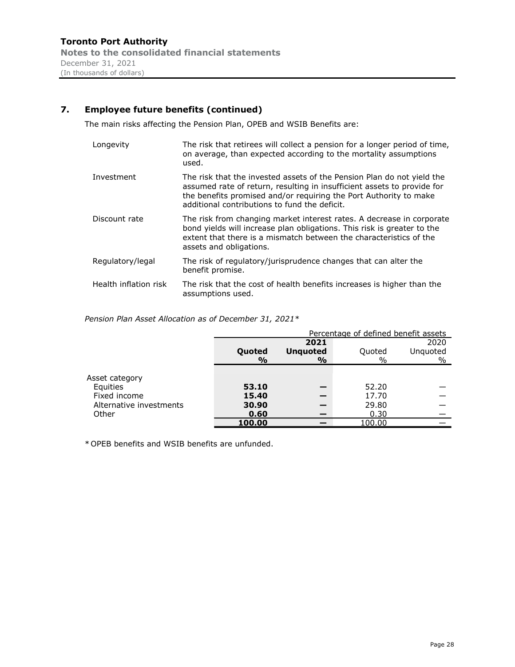# 7. Employee future benefits (continued)

The main risks affecting the Pension Plan, OPEB and WSIB Benefits are:

| Longevity                                                      | used.            | The risk that retirees will collect a pension for a longer period of time,<br>on average, than expected according to the mortality assumptions                                                                                                                          |                                  |                                      |                  |  |  |  |  |  |  |
|----------------------------------------------------------------|------------------|-------------------------------------------------------------------------------------------------------------------------------------------------------------------------------------------------------------------------------------------------------------------------|----------------------------------|--------------------------------------|------------------|--|--|--|--|--|--|
| Investment                                                     |                  | The risk that the invested assets of the Pension Plan do not yield the<br>assumed rate of return, resulting in insufficient assets to provide for<br>the benefits promised and/or requiring the Port Authority to make<br>additional contributions to fund the deficit. |                                  |                                      |                  |  |  |  |  |  |  |
| Discount rate                                                  |                  | The risk from changing market interest rates. A decrease in corporate<br>bond yields will increase plan obligations. This risk is greater to the<br>extent that there is a mismatch between the characteristics of the<br>assets and obligations.                       |                                  |                                      |                  |  |  |  |  |  |  |
| Regulatory/legal                                               | benefit promise. | The risk of regulatory/jurisprudence changes that can alter the                                                                                                                                                                                                         |                                  |                                      |                  |  |  |  |  |  |  |
| Health inflation risk                                          |                  | The risk that the cost of health benefits increases is higher than the<br>assumptions used.                                                                                                                                                                             |                                  |                                      |                  |  |  |  |  |  |  |
| ension Plan Asset Allocation as of December 31, 2021 $^{\ast}$ |                  |                                                                                                                                                                                                                                                                         |                                  |                                      |                  |  |  |  |  |  |  |
|                                                                |                  |                                                                                                                                                                                                                                                                         |                                  | Percentage of defined benefit assets |                  |  |  |  |  |  |  |
|                                                                |                  | 2021<br>2020                                                                                                                                                                                                                                                            |                                  |                                      |                  |  |  |  |  |  |  |
|                                                                |                  | Quoted<br>$\frac{1}{2}$                                                                                                                                                                                                                                                 | <b>Unquoted</b><br>$\frac{1}{2}$ | Quoted<br>$\frac{0}{0}$              | Unquoted<br>$\%$ |  |  |  |  |  |  |
| sset category                                                  |                  |                                                                                                                                                                                                                                                                         |                                  |                                      |                  |  |  |  |  |  |  |
| Equities                                                       |                  | 53.10                                                                                                                                                                                                                                                                   |                                  | 52.20                                |                  |  |  |  |  |  |  |
| Fixed income                                                   |                  | 15.40                                                                                                                                                                                                                                                                   |                                  | 17.70                                |                  |  |  |  |  |  |  |
| Alternative investments                                        |                  | 30.90                                                                                                                                                                                                                                                                   |                                  | 29.80                                |                  |  |  |  |  |  |  |

|                         |               |                          | Percentage of defined benefit assets |                        |
|-------------------------|---------------|--------------------------|--------------------------------------|------------------------|
|                         |               | 2021                     |                                      | 2020                   |
|                         | Quoted        | <b>Unquoted</b>          | Quoted                               | Unquoted               |
|                         | $\frac{9}{6}$ | $\frac{1}{2}$            | $\frac{0}{0}$                        | %                      |
|                         |               |                          |                                      |                        |
| Asset category          |               |                          |                                      |                        |
| Equities                | 53.10         | $\overline{\phantom{0}}$ | 52.20                                | $\qquad \qquad \qquad$ |
| Fixed income            | 15.40         | $\overline{\phantom{0}}$ | 17.70                                | $\hspace{0.05cm}$      |
| Alternative investments | 30.90         | —                        | 29.80                                | --                     |
| Other                   | 0.60          |                          | 0.30                                 |                        |
|                         | 100.00        | –                        | 100.00                               |                        |

\* OPEB benefits and WSIB benefits are unfunded.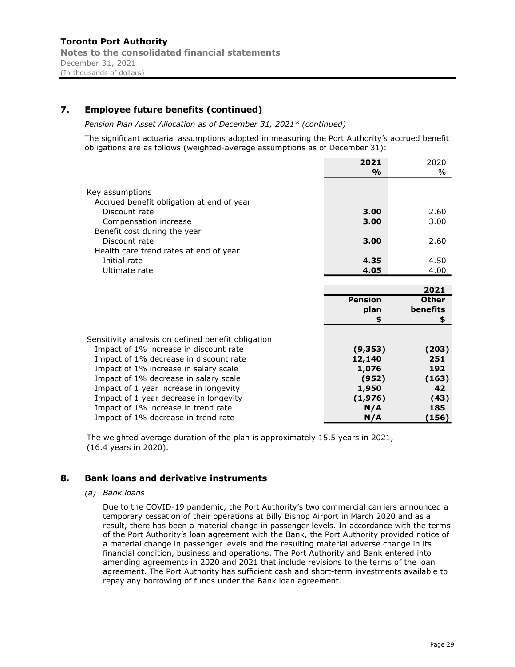# 7. Employee future benefits (continued)

Pension Plan Asset Allocation as of December 31, 2021\* (continued)

The significant actuarial assumptions adopted in measuring the Port Authority's accrued benefit obligations are as follows (weighted-average assumptions as of December 31):

|                                                            | 2021           | 2020         |
|------------------------------------------------------------|----------------|--------------|
|                                                            | %              | $\%$         |
| Key assumptions                                            |                |              |
| Accrued benefit obligation at end of year<br>Discount rate | 3.00           | 2.60         |
| Compensation increase<br>Benefit cost during the year      | 3.00           | 3.00         |
| Discount rate                                              | 3.00           | 2.60         |
| Health care trend rates at end of year                     |                |              |
| Initial rate                                               | 4.35           | 4.50         |
| Ultimate rate                                              | 4.05           | 4.00         |
|                                                            |                |              |
|                                                            |                | 2021         |
|                                                            | <b>Pension</b> | <b>Other</b> |
|                                                            | plan           | benefits     |
|                                                            | \$             | \$           |
| Sensitivity analysis on defined benefit obligation         |                |              |
| Impact of 1% increase in discount rate                     | (9, 353)       | (203)        |
| Impact of 1% decrease in discount rate                     | 12,140         | 251          |
| Impact of 1% increase in salary scale                      | 1,076          | 192          |
| Impact of 1% decrease in salary scale                      | (952)          | (163)        |
| Impact of 1 year increase in longevity                     | 1,950          | 42           |
| Impact of 1 year decrease in longevity                     | (1,976)        | (43)         |
| Impact of 1% increase in trend rate                        | N/A            | 185          |
| Impact of 1% decrease in trend rate                        | N/A            | (156)        |

The weighted average duration of the plan is approximately 15.5 years in 2021, (16.4 years in 2020).

#### 8. Bank loans and derivative instruments

(a) Bank loans

Due to the COVID-19 pandemic, the Port Authority's two commercial carriers announced a temporary cessation of their operations at Billy Bishop Airport in March 2020 and as a result, there has been a material change in passenger levels. In accordance with the terms of the Port Authority's loan agreement with the Bank, the Port Authority provided notice of a material change in passenger levels and the resulting material adverse change in its financial condition, business and operations. The Port Authority and Bank entered into amending agreements in 2020 and 2021 that include revisions to the terms of the loan agreement. The Port Authority has sufficient cash and short-term investments available to repay any borrowing of funds under the Bank loan agreement.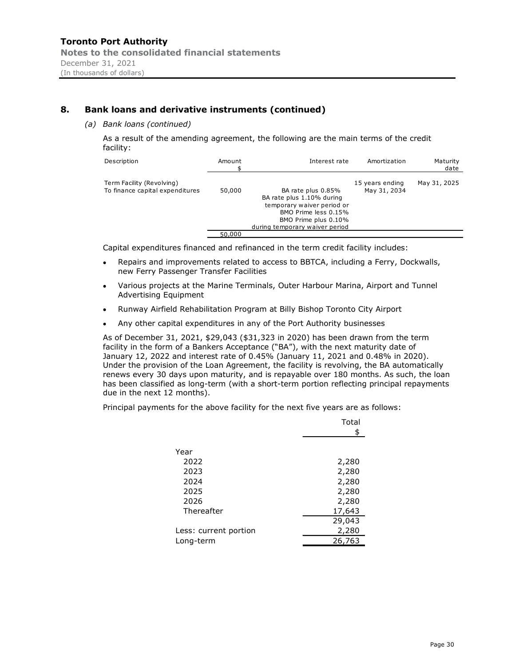# 8. Bank loans and derivative instruments (continued)

#### (a) Bank loans (continued)

As a result of the amending agreement, the following are the main terms of the credit facility:

| Description                                                  | Amount | Interest rate                                                                                                                                                   | Amortization                    | Maturity<br>date |
|--------------------------------------------------------------|--------|-----------------------------------------------------------------------------------------------------------------------------------------------------------------|---------------------------------|------------------|
| Term Facility (Revolving)<br>To finance capital expenditures | 50,000 | BA rate plus 0.85%<br>BA rate plus 1.10% during<br>temporary waiver period or<br>BMO Prime less 0.15%<br>BMO Prime plus 0.10%<br>during temporary waiver period | 15 years ending<br>May 31, 2034 | May 31, 2025     |
|                                                              | 50,000 |                                                                                                                                                                 |                                 |                  |

Capital expenditures financed and refinanced in the term credit facility includes:

- Repairs and improvements related to access to BBTCA, including a Ferry, Dockwalls, new Ferry Passenger Transfer Facilities
- $\bullet$ Various projects at the Marine Terminals, Outer Harbour Marina, Airport and Tunnel Advertising Equipment
- $\bullet$ Runway Airfield Rehabilitation Program at Billy Bishop Toronto City Airport
- Any other capital expenditures in any of the Port Authority businesses  $\bullet$

As of December 31, 2021, \$29,043 (\$31,323 in 2020) has been drawn from the term facility in the form of a Bankers Acceptance ("BA"), with the next maturity date of January 12, 2022 and interest rate of 0.45% (January 11, 2021 and 0.48% in 2020). Under the provision of the Loan Agreement, the facility is revolving, the BA automatically renews every 30 days upon maturity, and is repayable over 180 months. As such, the loan has been classified as long-term (with a short-term portion reflecting principal repayments due in the next 12 months).

Principal payments for the above facility for the next five years are as follows:

|                       | Total  |
|-----------------------|--------|
|                       | \$     |
|                       |        |
| Year                  |        |
| 2022                  | 2,280  |
| 2023                  | 2,280  |
| 2024                  | 2,280  |
| 2025                  | 2,280  |
| 2026                  | 2,280  |
| Thereafter            | 17,643 |
|                       | 29,043 |
| Less: current portion | 2,280  |
| Long-term             | 26,763 |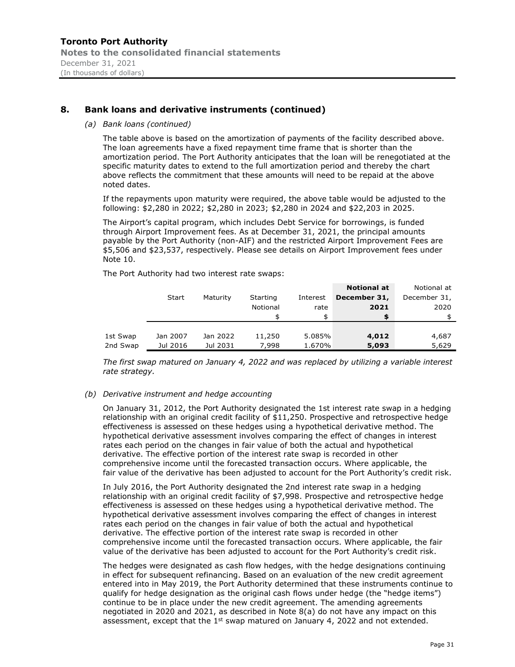# 8. Bank loans and derivative instruments (continued)

#### (a) Bank loans (continued)

|              |                                                                                   |          | k loans and derivative instruments (continued) |                        |                                                                                                                                                                                                                                                                                                                                                                                                                                                                 |                                           |
|--------------|-----------------------------------------------------------------------------------|----------|------------------------------------------------|------------------------|-----------------------------------------------------------------------------------------------------------------------------------------------------------------------------------------------------------------------------------------------------------------------------------------------------------------------------------------------------------------------------------------------------------------------------------------------------------------|-------------------------------------------|
|              | Bank loans (continued)                                                            |          |                                                |                        |                                                                                                                                                                                                                                                                                                                                                                                                                                                                 |                                           |
| าoted dates. |                                                                                   |          |                                                |                        | The table above is based on the amortization of payments of the facility described above.<br>The loan agreements have a fixed repayment time frame that is shorter than the<br>amortization period. The Port Authority anticipates that the loan will be renegotiated at the<br>specific maturity dates to extend to the full amortization period and thereby the chart<br>above reflects the commitment that these amounts will need to be repaid at the above |                                           |
|              |                                                                                   |          |                                                |                        | If the repayments upon maturity were required, the above table would be adjusted to the                                                                                                                                                                                                                                                                                                                                                                         |                                           |
|              | ollowing: \$2,280 in 2022; \$2,280 in 2023; \$2,280 in 2024 and \$22,203 in 2025. |          |                                                |                        |                                                                                                                                                                                                                                                                                                                                                                                                                                                                 |                                           |
| Vote 10.     |                                                                                   |          |                                                |                        | The Airport's capital program, which includes Debt Service for borrowings, is funded<br>hrough Airport Improvement fees. As at December 31, 2021, the principal amounts<br>bayable by the Port Authority (non-AIF) and the restricted Airport Improvement Fees are<br>\$5,506 and \$23,537, respectively. Please see details on Airport Improvement fees under                                                                                                  |                                           |
|              | The Port Authority had two interest rate swaps:                                   |          |                                                |                        |                                                                                                                                                                                                                                                                                                                                                                                                                                                                 |                                           |
|              | Start                                                                             | Maturity | Starting<br>Notional<br>\$                     | Interest<br>rate<br>\$ | <b>Notional at</b><br>December 31,<br>2021<br>\$                                                                                                                                                                                                                                                                                                                                                                                                                | Notional at<br>December 31,<br>2020<br>\$ |
| 1st Swap     | Jan 2007                                                                          | Jan 2022 | 11,250                                         | 5.085%                 | 4,012                                                                                                                                                                                                                                                                                                                                                                                                                                                           | 4,687                                     |

#### (b) Derivative instrument and hedge accounting

On January 31, 2012, the Port Authority designated the 1st interest rate swap in a hedging relationship with an original credit facility of \$11,250. Prospective and retrospective hedge effectiveness is assessed on these hedges using a hypothetical derivative method. The hypothetical derivative assessment involves comparing the effect of changes in interest rates each period on the changes in fair value of both the actual and hypothetical derivative. The effective portion of the interest rate swap is recorded in other comprehensive income until the forecasted transaction occurs. Where applicable, the fair value of the derivative has been adjusted to account for the Port Authority's credit risk.

In July 2016, the Port Authority designated the 2nd interest rate swap in a hedging relationship with an original credit facility of \$7,998. Prospective and retrospective hedge effectiveness is assessed on these hedges using a hypothetical derivative method. The hypothetical derivative assessment involves comparing the effect of changes in interest rates each period on the changes in fair value of both the actual and hypothetical derivative. The effective portion of the interest rate swap is recorded in other comprehensive income until the forecasted transaction occurs. Where applicable, the fair value of the derivative has been adjusted to account for the Port Authority's credit risk.

The hedges were designated as cash flow hedges, with the hedge designations continuing in effect for subsequent refinancing. Based on an evaluation of the new credit agreement entered into in May 2019, the Port Authority determined that these instruments continue to qualify for hedge designation as the original cash flows under hedge (the "hedge items") continue to be in place under the new credit agreement. The amending agreements negotiated in 2020 and 2021, as described in Note 8(a) do not have any impact on this assessment, except that the  $1<sup>st</sup>$  swap matured on January 4, 2022 and not extended.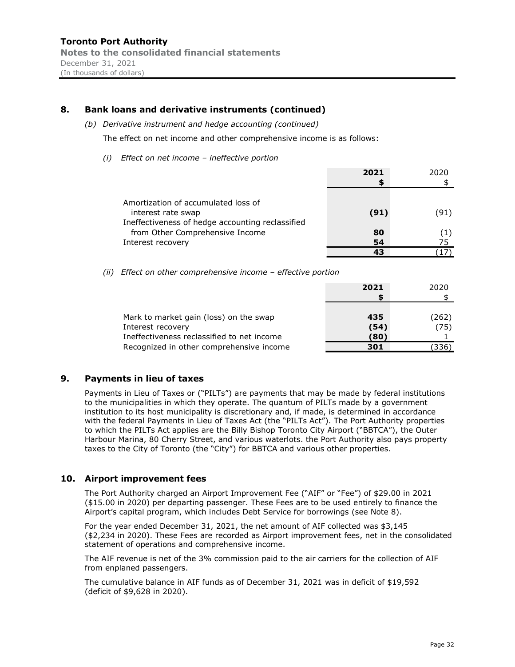# 8. Bank loans and derivative instruments (continued)

(b) Derivative instrument and hedge accounting (continued)

The effect on net income and other comprehensive income is as follows:

 $(i)$  Effect on net income - ineffective portion

|                                                  | 2021 | 2020 |
|--------------------------------------------------|------|------|
|                                                  |      |      |
|                                                  |      |      |
| Amortization of accumulated loss of              |      |      |
| interest rate swap                               | (91) | (91) |
| Ineffectiveness of hedge accounting reclassified |      |      |
| from Other Comprehensive Income                  | 80   |      |
| Interest recovery                                | 54   | 75   |
|                                                  | 43   |      |

(ii) Effect on other comprehensive income - effective portion

| 2021 | 2020  |
|------|-------|
|      |       |
|      |       |
| 435  | (262) |
| (54) | (75)  |
| (80) |       |
| 301  | (336) |
|      |       |

#### 9. Payments in lieu of taxes

Payments in Lieu of Taxes or ("PILTs") are payments that may be made by federal institutions to the municipalities in which they operate. The quantum of PILTs made by a government institution to its host municipality is discretionary and, if made, is determined in accordance with the federal Payments in Lieu of Taxes Act (the "PILTs Act"). The Port Authority properties to which the PILTs Act applies are the Billy Bishop Toronto City Airport ("BBTCA"), the Outer Harbour Marina, 80 Cherry Street, and various waterlots. the Port Authority also pays property taxes to the City of Toronto (the "City") for BBTCA and various other properties.

#### 10. Airport improvement fees

The Port Authority charged an Airport Improvement Fee ("AIF" or "Fee") of \$29.00 in 2021 (\$15.00 in 2020) per departing passenger. These Fees are to be used entirely to finance the Airport's capital program, which includes Debt Service for borrowings (see Note 8).

For the year ended December 31, 2021, the net amount of AIF collected was \$3,145 (\$2,234 in 2020). These Fees are recorded as Airport improvement fees, net in the consolidated statement of operations and comprehensive income.

The AIF revenue is net of the 3% commission paid to the air carriers for the collection of AIF from enplaned passengers.

The cumulative balance in AIF funds as of December 31, 2021 was in deficit of \$19,592 (deficit of \$9,628 in 2020).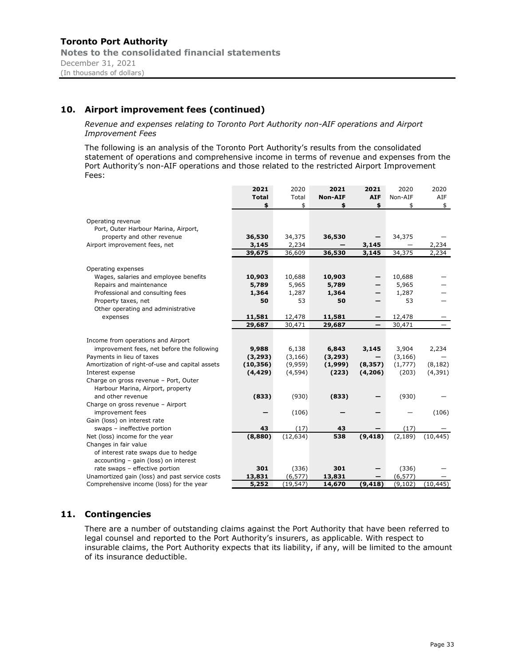# 10. Airport improvement fees (continued)

Revenue and expenses relating to Toronto Port Authority non-AIF operations and Airport Improvement Fees

The following is an analysis of the Toronto Port Authority's results from the consolidated statement of operations and comprehensive income in terms of revenue and expenses from the Port Authority's non-AIF operations and those related to the restricted Airport Improvement Fees:

|                                                 | 2021         | 2020      | 2021           | 2021                     | 2020     | 2020                                      |
|-------------------------------------------------|--------------|-----------|----------------|--------------------------|----------|-------------------------------------------|
|                                                 | <b>Total</b> | Total     | <b>Non-AIF</b> | <b>AIF</b>               | Non-AIF  | AIF                                       |
|                                                 | \$           | \$        | \$             | \$                       | \$       | \$                                        |
|                                                 |              |           |                |                          |          |                                           |
| Operating revenue                               |              |           |                |                          |          |                                           |
| Port, Outer Harbour Marina, Airport,            |              |           |                |                          |          |                                           |
| property and other revenue                      | 36,530       | 34,375    | 36,530         |                          | 34,375   |                                           |
| Airport improvement fees, net                   | 3,145        | 2,234     |                | 3,145                    |          | 2,234                                     |
|                                                 | 39,675       | 36,609    | 36,530         | 3,145                    | 34,375   | 2,234                                     |
|                                                 |              |           |                |                          |          |                                           |
| Operating expenses                              |              |           |                |                          |          |                                           |
| Wages, salaries and employee benefits           | 10,903       | 10,688    | 10,903         |                          | 10,688   |                                           |
| Repairs and maintenance                         | 5,789        | 5,965     | 5,789          |                          | 5,965    |                                           |
| Professional and consulting fees                | 1,364        | 1,287     | 1,364          |                          | 1,287    |                                           |
| Property taxes, net                             | 50           | 53        | 50             |                          | 53       |                                           |
| Other operating and administrative              |              |           |                |                          |          |                                           |
| expenses                                        | 11,581       | 12,478    | 11,581         | —                        | 12,478   |                                           |
|                                                 | 29,687       | 30,471    | 29,687         | $\overline{\phantom{m}}$ | 30,471   | $\qquad \qquad \overline{\qquad \qquad }$ |
|                                                 |              |           |                |                          |          |                                           |
| Income from operations and Airport              |              |           |                |                          |          |                                           |
| improvement fees, net before the following      | 9,988        | 6,138     | 6,843          | 3,145                    | 3,904    | 2,234                                     |
| Payments in lieu of taxes                       | (3, 293)     | (3, 166)  | (3, 293)       |                          | (3, 166) |                                           |
| Amortization of right-of-use and capital assets | (10, 356)    | (9,959)   | (1,999)        | (8, 357)                 | (1,777)  | (8, 182)                                  |
| Interest expense                                | (4, 429)     | (4, 594)  | (223)          | (4,206)                  | (203)    | (4, 391)                                  |
| Charge on gross revenue - Port, Outer           |              |           |                |                          |          |                                           |
| Harbour Marina, Airport, property               |              |           |                |                          |          |                                           |
| and other revenue                               | (833)        | (930)     | (833)          |                          | (930)    |                                           |
| Charge on gross revenue - Airport               |              |           |                |                          |          |                                           |
| improvement fees                                |              | (106)     |                |                          |          | (106)                                     |
| Gain (loss) on interest rate                    |              |           |                |                          |          |                                           |
| swaps - ineffective portion                     | 43           | (17)      | 43             |                          | (17)     |                                           |
| Net (loss) income for the year                  | (8,880)      | (12, 634) | 538            | (9, 418)                 | (2, 189) | (10, 445)                                 |
| Changes in fair value                           |              |           |                |                          |          |                                           |
| of interest rate swaps due to hedge             |              |           |                |                          |          |                                           |
| accounting - gain (loss) on interest            |              |           |                |                          |          |                                           |
| rate swaps - effective portion                  | 301          | (336)     | 301            |                          | (336)    |                                           |
| Unamortized gain (loss) and past service costs  | 13,831       | (6, 577)  | 13,831         |                          | (6, 577) |                                           |
| Comprehensive income (loss) for the year        | 5,252        | (19, 547) | 14,670         | (9, 418)                 | (9, 102) | (10, 445)                                 |

# 11. Contingencies

There are a number of outstanding claims against the Port Authority that have been referred to legal counsel and reported to the Port Authority's insurers, as applicable. With respect to insurable claims, the Port Authority expects that its liability, if any, will be limited to the amount of its insurance deductible.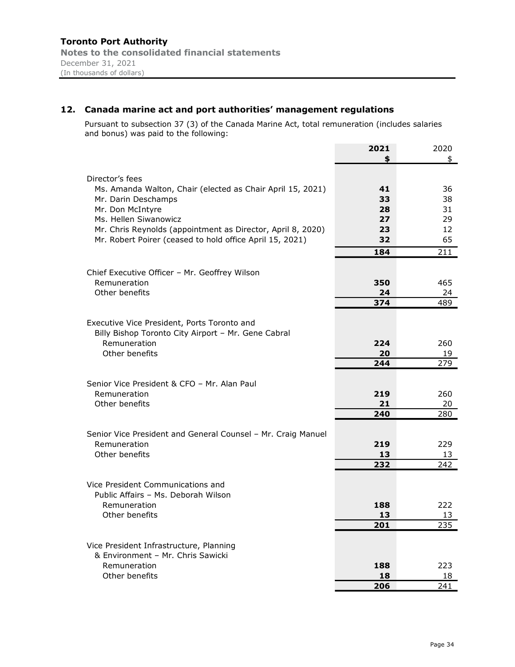# 12. Canada marine act and port authorities' management regulations

Pursuant to subsection 37 (3) of the Canada Marine Act, total remuneration (includes salaries and bonus) was paid to the following:

|                                                                                                    | 2021 | 2020 |
|----------------------------------------------------------------------------------------------------|------|------|
|                                                                                                    |      | \$   |
| Director's fees                                                                                    |      |      |
| Ms. Amanda Walton, Chair (elected as Chair April 15, 2021)                                         | 41   | 36   |
| Mr. Darin Deschamps                                                                                | 33   | 38   |
| Mr. Don McIntyre                                                                                   | 28   | 31   |
| Ms. Hellen Siwanowicz                                                                              | 27   | 29   |
| Mr. Chris Reynolds (appointment as Director, April 8, 2020)                                        | 23   | 12   |
| Mr. Robert Poirer (ceased to hold office April 15, 2021)                                           | 32   | 65   |
|                                                                                                    | 184  | 211  |
|                                                                                                    |      |      |
| Chief Executive Officer - Mr. Geoffrey Wilson                                                      |      |      |
| Remuneration                                                                                       | 350  | 465  |
| Other benefits                                                                                     | 24   | 24   |
|                                                                                                    | 374  | 489  |
|                                                                                                    |      |      |
| Executive Vice President, Ports Toronto and<br>Billy Bishop Toronto City Airport - Mr. Gene Cabral |      |      |
| Remuneration                                                                                       | 224  | 260  |
| Other benefits                                                                                     | 20   | 19   |
|                                                                                                    | 244  | 279  |
|                                                                                                    |      |      |
| Senior Vice President & CFO - Mr. Alan Paul                                                        |      |      |
| Remuneration                                                                                       | 219  | 260  |
| Other benefits                                                                                     | 21   | 20   |
|                                                                                                    | 240  | 280  |
| Senior Vice President and General Counsel – Mr. Craig Manuel                                       |      |      |
| Remuneration                                                                                       | 219  | 229  |
| Other benefits                                                                                     | 13   | 13   |
|                                                                                                    | 232  | 242  |
|                                                                                                    |      |      |
| Vice President Communications and                                                                  |      |      |
| Public Affairs - Ms. Deborah Wilson                                                                |      |      |
| Remuneration                                                                                       | 188  | 222. |
| Other benefits                                                                                     | 13   | 13   |
|                                                                                                    | 201  | 235  |
| Vice President Infrastructure, Planning                                                            |      |      |
| & Environment - Mr. Chris Sawicki                                                                  |      |      |
| Remuneration                                                                                       | 188  | 223  |
| Other benefits                                                                                     | 18   | 18   |
|                                                                                                    | 206  | 241  |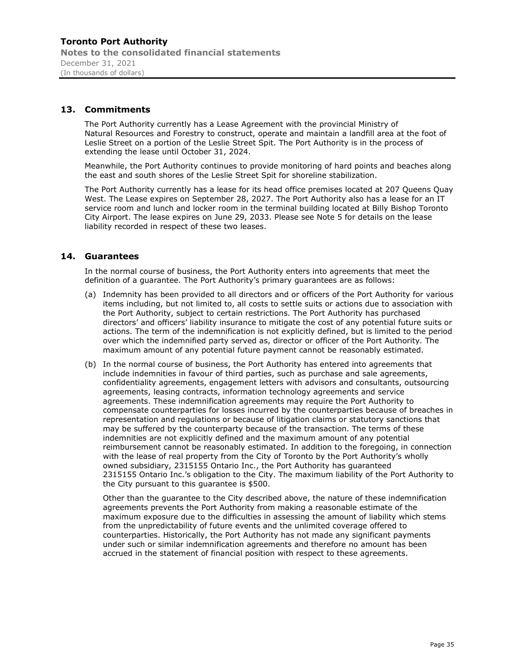# 13. Commitments

The Port Authority currently has a Lease Agreement with the provincial Ministry of Natural Resources and Forestry to construct, operate and maintain a landfill area at the foot of Leslie Street on a portion of the Leslie Street Spit. The Port Authority is in the process of extending the lease until October 31, 2024.

Meanwhile, the Port Authority continues to provide monitoring of hard points and beaches along the east and south shores of the Leslie Street Spit for shoreline stabilization.

The Port Authority currently has a lease for its head office premises located at 207 Queens Quay West. The Lease expires on September 28, 2027. The Port Authority also has a lease for an IT service room and lunch and locker room in the terminal building located at Billy Bishop Toronto City Airport. The lease expires on June 29, 2033. Please see Note 5 for details on the lease liability recorded in respect of these two leases.

# 14. Guarantees

In the normal course of business, the Port Authority enters into agreements that meet the definition of a quarantee. The Port Authority's primary quarantees are as follows:

- (a) Indemnity has been provided to all directors and or officers of the Port Authority for various items including, but not limited to, all costs to settle suits or actions due to association with the Port Authority, subject to certain restrictions. The Port Authority has purchased directors' and officers' liability insurance to mitigate the cost of any potential future suits or actions. The term of the indemnification is not explicitly defined, but is limited to the period over which the indemnified party served as, director or officer of the Port Authority. The maximum amount of any potential future payment cannot be reasonably estimated.
- (b) In the normal course of business, the Port Authority has entered into agreements that include indemnities in favour of third parties, such as purchase and sale agreements, confidentiality agreements, engagement letters with advisors and consultants, outsourcing agreements, leasing contracts, information technology agreements and service agreements. These indemnification agreements may require the Port Authority to compensate counterparties for losses incurred by the counterparties because of breaches in representation and regulations or because of litigation claims or statutory sanctions that may be suffered by the counterparty because of the transaction. The terms of these indemnities are not explicitly defined and the maximum amount of any potential reimbursement cannot be reasonably estimated. In addition to the foregoing, in connection with the lease of real property from the City of Toronto by the Port Authority's wholly owned subsidiary, 2315155 Ontario Inc., the Port Authority has guaranteed 2315155 Ontario Inc.'s obligation to the City. The maximum liability of the Port Authority to the City pursuant to this guarantee is \$500.

Other than the guarantee to the City described above, the nature of these indemnification agreements prevents the Port Authority from making a reasonable estimate of the maximum exposure due to the difficulties in assessing the amount of liability which stems from the unpredictability of future events and the unlimited coverage offered to counterparties. Historically, the Port Authority has not made any significant payments under such or similar indemnification agreements and therefore no amount has been accrued in the statement of financial position with respect to these agreements.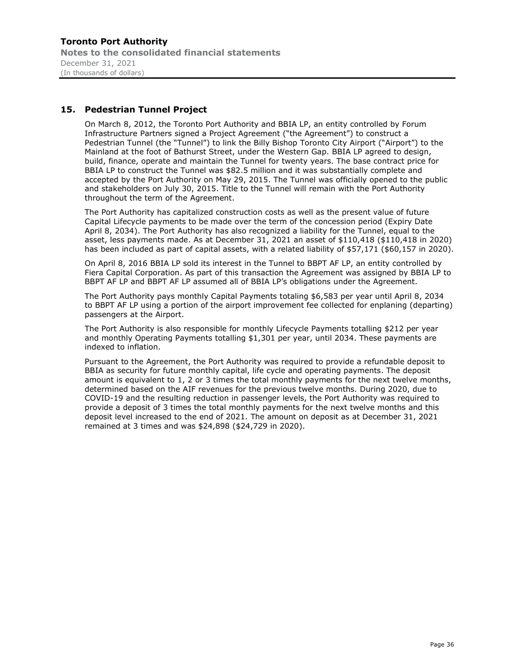Toronto Port Authority Notes to the consolidated financial statements December 31, 2021 (In thousands of dollars)

# 15. Pedestrian Tunnel Project

On March 8, 2012, the Toronto Port Authority and BBIA LP, an entity controlled by Forum Infrastructure Partners signed a Project Agreement ("the Agreement") to construct a Pedestrian Tunnel (the "Tunnel") to link the Billy Bishop Toronto City Airport ("Airport") to the Mainland at the foot of Bathurst Street, under the Western Gap. BBIA LP agreed to design, build, finance, operate and maintain the Tunnel for twenty years. The base contract price for BBIA LP to construct the Tunnel was \$82.5 million and it was substantially complete and accepted by the Port Authority on May 29, 2015. The Tunnel was officially opened to the public and stakeholders on July 30, 2015. Title to the Tunnel will remain with the Port Authority throughout the term of the Agreement.

The Port Authority has capitalized construction costs as well as the present value of future Capital Lifecycle payments to be made over the term of the concession period (Expiry Date April 8, 2034). The Port Authority has also recognized a liability for the Tunnel, equal to the asset, less payments made. As at December 31, 2021 an asset of \$110,418 (\$110,418 in 2020) has been included as part of capital assets, with a related liability of \$57,171 (\$60,157 in 2020).

On April 8, 2016 BBIA LP sold its interest in the Tunnel to BBPT AF LP, an entity controlled by Fiera Capital Corporation. As part of this transaction the Agreement was assigned by BBIA LP to BBPT AF LP and BBPT AF LP assumed all of BBIA LP's obligations under the Agreement.

The Port Authority pays monthly Capital Payments totaling \$6,583 per year until April 8, 2034 to BBPT AF LP using a portion of the airport improvement fee collected for enplaning (departing) passengers at the Airport.

The Port Authority is also responsible for monthly Lifecycle Payments totalling \$212 per year and monthly Operating Payments totalling \$1,301 per year, until 2034. These payments are indexed to inflation.

Pursuant to the Agreement, the Port Authority was required to provide a refundable deposit to BBIA as security for future monthly capital, life cycle and operating payments. The deposit amount is equivalent to 1, 2 or 3 times the total monthly payments for the next twelve months, determined based on the AIF revenues for the previous twelve months. During 2020, due to COVID-19 and the resulting reduction in passenger levels, the Port Authority was required to provide a deposit of 3 times the total monthly payments for the next twelve months and this deposit level increased to the end of 2021. The amount on deposit as at December 31, 2021 remained at 3 times and was \$24,898 (\$24,729 in 2020).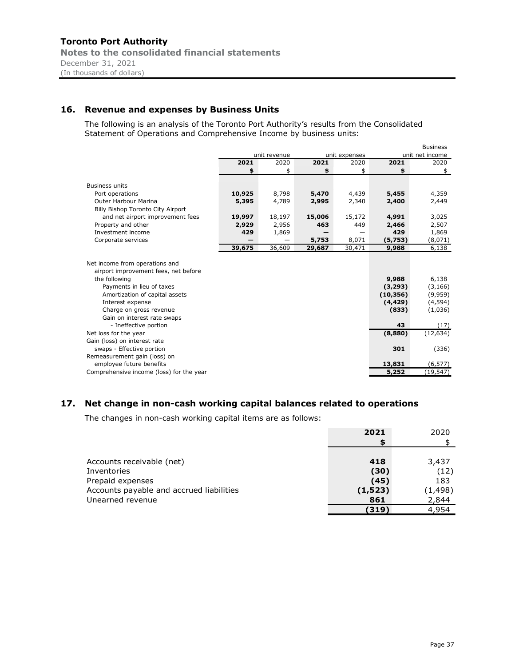# 16. Revenue and expenses by Business Units

The following is an analysis of the Toronto Port Authority's results from the Consolidated Statement of Operations and Comprehensive Income by business units:

|                                          |        |              |        |               |           | <b>Business</b> |
|------------------------------------------|--------|--------------|--------|---------------|-----------|-----------------|
|                                          |        | unit revenue |        | unit expenses |           | unit net income |
|                                          | 2021   | 2020         | 2021   | 2020          | 2021      | 2020            |
|                                          | \$     | \$           | \$     | \$            | \$        | \$              |
|                                          |        |              |        |               |           |                 |
| <b>Business units</b>                    |        |              |        |               |           |                 |
| Port operations                          | 10,925 | 8,798        | 5,470  | 4,439         | 5,455     | 4,359           |
| <b>Outer Harbour Marina</b>              | 5,395  | 4,789        | 2,995  | 2,340         | 2,400     | 2,449           |
| Billy Bishop Toronto City Airport        |        |              |        |               |           |                 |
| and net airport improvement fees         | 19,997 | 18,197       | 15,006 | 15,172        | 4,991     | 3,025           |
| Property and other                       | 2,929  | 2,956        | 463    | 449           | 2,466     | 2,507           |
| Investment income                        | 429    | 1,869        |        |               | 429       | 1,869           |
| Corporate services                       |        |              | 5,753  | 8,071         | (5,753)   | (8,071)         |
|                                          | 39,675 | 36,609       | 29,687 | 30,471        | 9,988     | 6,138           |
|                                          |        |              |        |               |           |                 |
| Net income from operations and           |        |              |        |               |           |                 |
| airport improvement fees, net before     |        |              |        |               |           |                 |
| the following                            |        |              |        |               | 9,988     | 6,138           |
| Payments in lieu of taxes                |        |              |        |               | (3, 293)  | (3, 166)        |
| Amortization of capital assets           |        |              |        |               | (10, 356) | (9,959)         |
| Interest expense                         |        |              |        |               | (4, 429)  | (4, 594)        |
| Charge on gross revenue                  |        |              |        |               | (833)     | (1,036)         |
| Gain on interest rate swaps              |        |              |        |               |           |                 |
| - Ineffective portion                    |        |              |        |               | 43        | (17)            |
| Net loss for the year                    |        |              |        |               | (8,880)   | (12, 634)       |
| Gain (loss) on interest rate             |        |              |        |               |           |                 |
| swaps - Effective portion                |        |              |        |               | 301       | (336)           |
| Remeasurement gain (loss) on             |        |              |        |               |           |                 |
| employee future benefits                 |        |              |        |               | 13,831    | (6, 577)        |
| Comprehensive income (loss) for the year |        |              |        |               | 5,252     | (19, 547)       |

# 17. Net change in non-cash working capital balances related to operations

The changes in non-cash working capital items are as follows:

|                                          | 2021     | 2020     |
|------------------------------------------|----------|----------|
|                                          |          |          |
|                                          |          |          |
| Accounts receivable (net)                | 418      | 3,437    |
| Inventories                              | (30)     | (12)     |
| Prepaid expenses                         | (45)     | 183      |
| Accounts payable and accrued liabilities | (1, 523) | (1, 498) |
| Unearned revenue                         | 861      | 2,844    |
|                                          | (319)    | 4,954    |